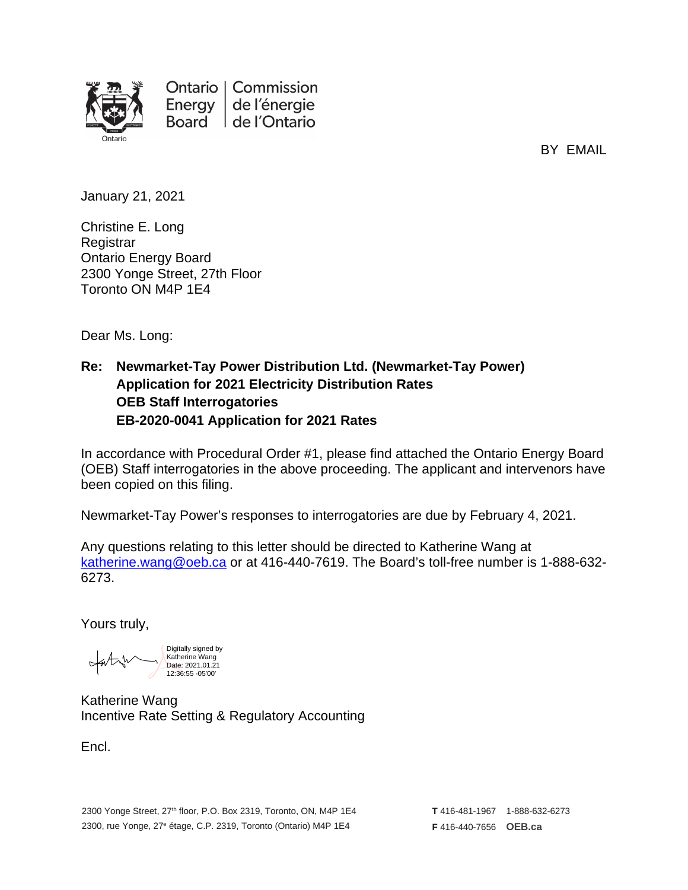

BY EMAIL

January 21, 2021

Christine E. Long **Registrar** Ontario Energy Board 2300 Yonge Street, 27th Floor Toronto ON M4P 1E4

Dear Ms. Long:

## **Re: Newmarket-Tay Power Distribution Ltd. (Newmarket-Tay Power) Application for 2021 Electricity Distribution Rates OEB Staff Interrogatories EB-2020-0041 Application for 2021 Rates**

In accordance with Procedural Order #1, please find attached the Ontario Energy Board (OEB) Staff interrogatories in the above proceeding. The applicant and intervenors have been copied on this filing.

Newmarket-Tay Power's responses to interrogatories are due by February 4, 2021.

Any questions relating to this letter should be directed to Katherine Wang at [katherine.wang@oeb.ca](mailto:katherine.wang@oeb.ca) or at 416-440-7619. The Board's toll-free number is 1-888-632- 6273.

Yours truly,

Digitally signed by Katherine Wang Date: 2021.01.21 12:36:55 -05'00'

Katherine Wang Incentive Rate Setting & Regulatory Accounting

Encl.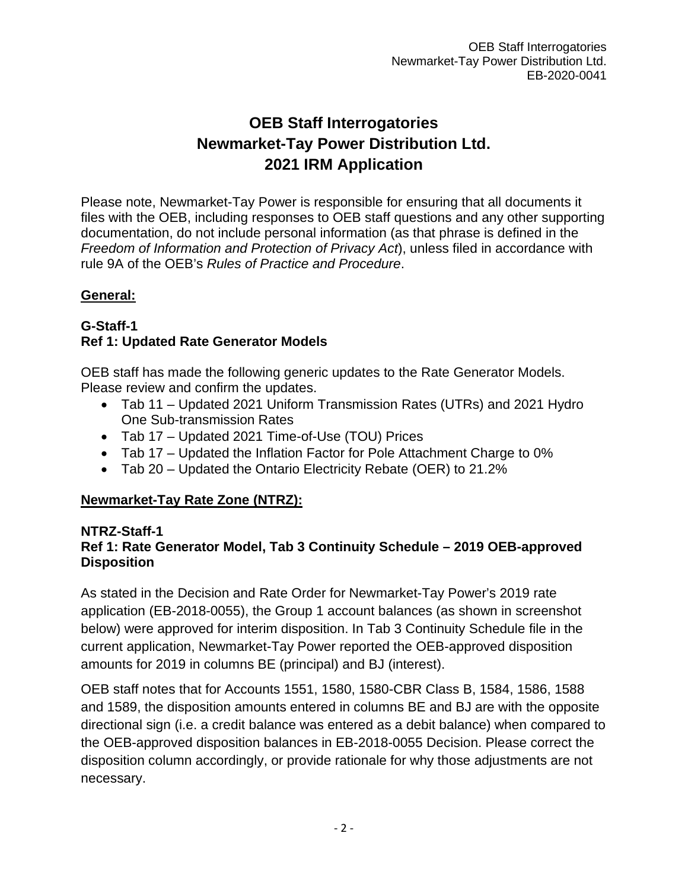# **OEB Staff Interrogatories Newmarket-Tay Power Distribution Ltd. 2021 IRM Application**

Please note, Newmarket-Tay Power is responsible for ensuring that all documents it files with the OEB, including responses to OEB staff questions and any other supporting documentation, do not include personal information (as that phrase is defined in the *Freedom of Information and Protection of Privacy Act*), unless filed in accordance with rule 9A of the OEB's *Rules of Practice and Procedure*.

## **General:**

### **G-Staff-1 Ref 1: Updated Rate Generator Models**

OEB staff has made the following generic updates to the Rate Generator Models. Please review and confirm the updates.

- Tab 11 Updated 2021 Uniform Transmission Rates (UTRs) and 2021 Hydro One Sub-transmission Rates
- Tab 17 Updated 2021 Time-of-Use (TOU) Prices
- Tab 17 Updated the Inflation Factor for Pole Attachment Charge to 0%
- Tab 20 Updated the Ontario Electricity Rebate (OER) to 21.2%

# **Newmarket-Tay Rate Zone (NTRZ):**

## **NTRZ-Staff-1**

# **Ref 1: Rate Generator Model, Tab 3 Continuity Schedule – 2019 OEB-approved Disposition**

As stated in the Decision and Rate Order for Newmarket-Tay Power's 2019 rate application (EB-2018-0055), the Group 1 account balances (as shown in screenshot below) were approved for interim disposition. In Tab 3 Continuity Schedule file in the current application, Newmarket-Tay Power reported the OEB-approved disposition amounts for 2019 in columns BE (principal) and BJ (interest).

OEB staff notes that for Accounts 1551, 1580, 1580-CBR Class B, 1584, 1586, 1588 and 1589, the disposition amounts entered in columns BE and BJ are with the opposite directional sign (i.e. a credit balance was entered as a debit balance) when compared to the OEB-approved disposition balances in EB-2018-0055 Decision. Please correct the disposition column accordingly, or provide rationale for why those adjustments are not necessary.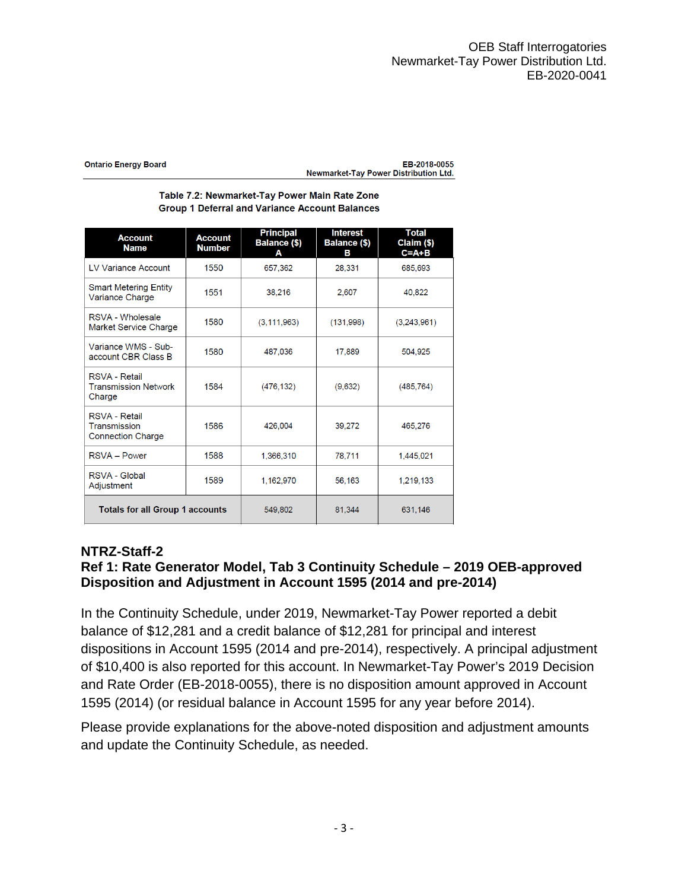| <b>Ontario Energy Board</b> | EB-2018-0055                                 |
|-----------------------------|----------------------------------------------|
|                             | <b>Newmarket-Tay Power Distribution Ltd.</b> |

### Table 7.2: Newmarket-Tay Power Main Rate Zone **Group 1 Deferral and Variance Account Balances**

| <b>Account</b><br><b>Name</b>                                 | <b>Account</b><br><b>Number</b> | <b>Principal</b><br>Balance (\$)<br>А | <b>Interest</b><br><b>Balance (\$)</b><br>в | Total<br>Claim (\$)<br>$C = A + B$ |
|---------------------------------------------------------------|---------------------------------|---------------------------------------|---------------------------------------------|------------------------------------|
| <b>IV Variance Account</b>                                    | 1550                            | 657,362                               | 28.331                                      | 685.693                            |
| <b>Smart Metering Entity</b><br>Variance Charge               | 1551                            | 38,216                                | 2.607                                       | 40.822                             |
| RSVA - Wholesale<br>Market Service Charge                     | 1580                            | (3, 111, 963)                         | (131,998)                                   | (3,243,961)                        |
| Variance WMS - Sub-<br>account CBR Class B                    | 1580                            | 487,036                               | 17.889                                      | 504,925                            |
| <b>RSVA - Retail</b><br><b>Transmission Network</b><br>Charge | 1584                            | (476, 132)                            | (9,632)                                     | (485, 764)                         |
| RSVA - Retail<br>Transmission<br><b>Connection Charge</b>     | 1586                            | 426,004                               | 39,272                                      | 465,276                            |
| RSVA - Power                                                  | 1588                            | 1.366,310                             | 78,711                                      | 1.445.021                          |
| RSVA - Global<br>Adjustment                                   | 1589                            | 1,162,970                             | 56,163                                      | 1,219,133                          |
| <b>Totals for all Group 1 accounts</b>                        |                                 | 549,802                               | 81,344                                      | 631,146                            |

## **NTRZ-Staff-2**

### **Ref 1: Rate Generator Model, Tab 3 Continuity Schedule – 2019 OEB-approved Disposition and Adjustment in Account 1595 (2014 and pre-2014)**

In the Continuity Schedule, under 2019, Newmarket-Tay Power reported a debit balance of \$12,281 and a credit balance of \$12,281 for principal and interest dispositions in Account 1595 (2014 and pre-2014), respectively. A principal adjustment of \$10,400 is also reported for this account. In Newmarket-Tay Power's 2019 Decision and Rate Order (EB-2018-0055), there is no disposition amount approved in Account 1595 (2014) (or residual balance in Account 1595 for any year before 2014).

Please provide explanations for the above-noted disposition and adjustment amounts and update the Continuity Schedule, as needed.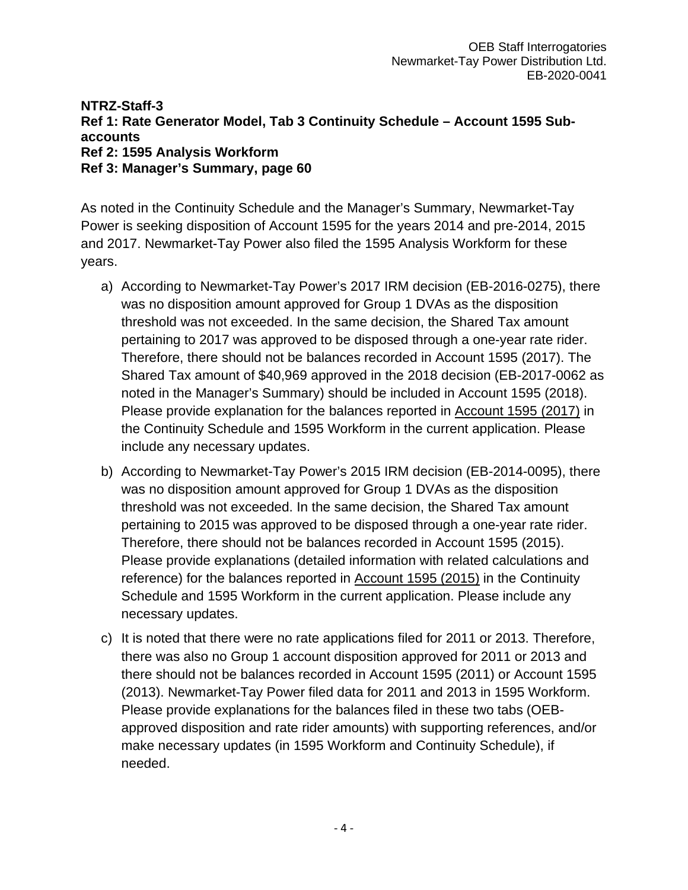### **NTRZ-Staff-3 Ref 1: Rate Generator Model, Tab 3 Continuity Schedule – Account 1595 Subaccounts Ref 2: 1595 Analysis Workform Ref 3: Manager's Summary, page 60**

As noted in the Continuity Schedule and the Manager's Summary, Newmarket-Tay Power is seeking disposition of Account 1595 for the years 2014 and pre-2014, 2015 and 2017. Newmarket-Tay Power also filed the 1595 Analysis Workform for these years.

- a) According to Newmarket-Tay Power's 2017 IRM decision (EB-2016-0275), there was no disposition amount approved for Group 1 DVAs as the disposition threshold was not exceeded. In the same decision, the Shared Tax amount pertaining to 2017 was approved to be disposed through a one-year rate rider. Therefore, there should not be balances recorded in Account 1595 (2017). The Shared Tax amount of \$40,969 approved in the 2018 decision (EB-2017-0062 as noted in the Manager's Summary) should be included in Account 1595 (2018). Please provide explanation for the balances reported in Account 1595 (2017) in the Continuity Schedule and 1595 Workform in the current application. Please include any necessary updates.
- b) According to Newmarket-Tay Power's 2015 IRM decision (EB-2014-0095), there was no disposition amount approved for Group 1 DVAs as the disposition threshold was not exceeded. In the same decision, the Shared Tax amount pertaining to 2015 was approved to be disposed through a one-year rate rider. Therefore, there should not be balances recorded in Account 1595 (2015). Please provide explanations (detailed information with related calculations and reference) for the balances reported in Account 1595 (2015) in the Continuity Schedule and 1595 Workform in the current application. Please include any necessary updates.
- c) It is noted that there were no rate applications filed for 2011 or 2013. Therefore, there was also no Group 1 account disposition approved for 2011 or 2013 and there should not be balances recorded in Account 1595 (2011) or Account 1595 (2013). Newmarket-Tay Power filed data for 2011 and 2013 in 1595 Workform. Please provide explanations for the balances filed in these two tabs (OEBapproved disposition and rate rider amounts) with supporting references, and/or make necessary updates (in 1595 Workform and Continuity Schedule), if needed.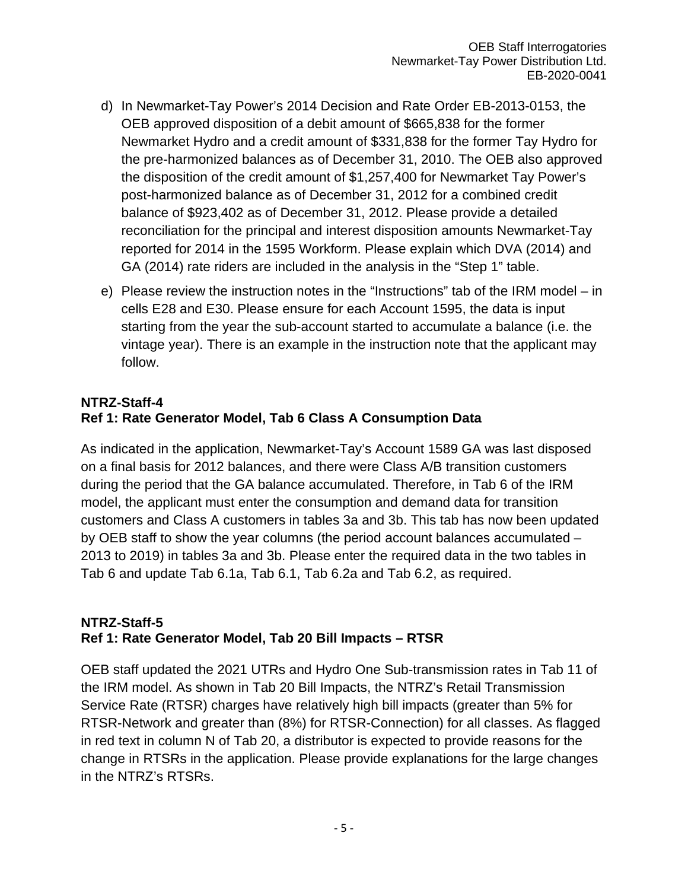- d) In Newmarket-Tay Power's 2014 Decision and Rate Order EB-2013-0153, the OEB approved disposition of a debit amount of \$665,838 for the former Newmarket Hydro and a credit amount of \$331,838 for the former Tay Hydro for the pre-harmonized balances as of December 31, 2010. The OEB also approved the disposition of the credit amount of \$1,257,400 for Newmarket Tay Power's post-harmonized balance as of December 31, 2012 for a combined credit balance of \$923,402 as of December 31, 2012. Please provide a detailed reconciliation for the principal and interest disposition amounts Newmarket-Tay reported for 2014 in the 1595 Workform. Please explain which DVA (2014) and GA (2014) rate riders are included in the analysis in the "Step 1" table.
- e) Please review the instruction notes in the "Instructions" tab of the IRM model in cells E28 and E30. Please ensure for each Account 1595, the data is input starting from the year the sub-account started to accumulate a balance (i.e. the vintage year). There is an example in the instruction note that the applicant may follow.

## **NTRZ-Staff-4 Ref 1: Rate Generator Model, Tab 6 Class A Consumption Data**

As indicated in the application, Newmarket-Tay's Account 1589 GA was last disposed on a final basis for 2012 balances, and there were Class A/B transition customers during the period that the GA balance accumulated. Therefore, in Tab 6 of the IRM model, the applicant must enter the consumption and demand data for transition customers and Class A customers in tables 3a and 3b. This tab has now been updated by OEB staff to show the year columns (the period account balances accumulated – 2013 to 2019) in tables 3a and 3b. Please enter the required data in the two tables in Tab 6 and update Tab 6.1a, Tab 6.1, Tab 6.2a and Tab 6.2, as required.

### **NTRZ-Staff-5 Ref 1: Rate Generator Model, Tab 20 Bill Impacts – RTSR**

OEB staff updated the 2021 UTRs and Hydro One Sub-transmission rates in Tab 11 of the IRM model. As shown in Tab 20 Bill Impacts, the NTRZ's Retail Transmission Service Rate (RTSR) charges have relatively high bill impacts (greater than 5% for RTSR-Network and greater than (8%) for RTSR-Connection) for all classes. As flagged in red text in column N of Tab 20, a distributor is expected to provide reasons for the change in RTSRs in the application. Please provide explanations for the large changes in the NTRZ's RTSRs.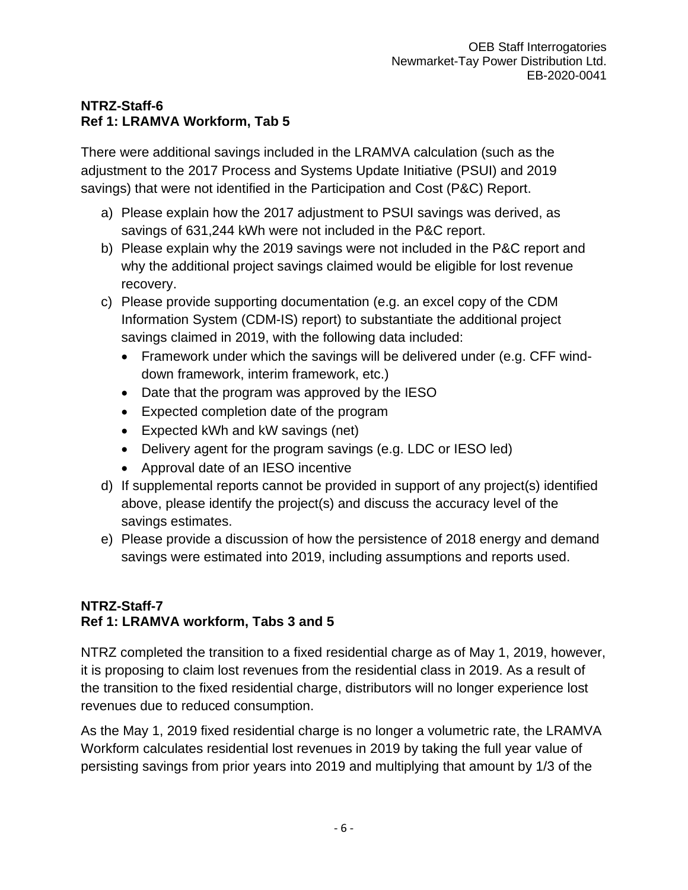## **NTRZ-Staff-6 Ref 1: LRAMVA Workform, Tab 5**

There were additional savings included in the LRAMVA calculation (such as the adjustment to the 2017 Process and Systems Update Initiative (PSUI) and 2019 savings) that were not identified in the Participation and Cost (P&C) Report.

- a) Please explain how the 2017 adjustment to PSUI savings was derived, as savings of 631,244 kWh were not included in the P&C report.
- b) Please explain why the 2019 savings were not included in the P&C report and why the additional project savings claimed would be eligible for lost revenue recovery.
- c) Please provide supporting documentation (e.g. an excel copy of the CDM Information System (CDM-IS) report) to substantiate the additional project savings claimed in 2019, with the following data included:
	- Framework under which the savings will be delivered under (e.g. CFF winddown framework, interim framework, etc.)
	- Date that the program was approved by the IESO
	- Expected completion date of the program
	- Expected kWh and kW savings (net)
	- Delivery agent for the program savings (e.g. LDC or IESO led)
	- Approval date of an IESO incentive
- d) If supplemental reports cannot be provided in support of any project(s) identified above, please identify the project(s) and discuss the accuracy level of the savings estimates.
- e) Please provide a discussion of how the persistence of 2018 energy and demand savings were estimated into 2019, including assumptions and reports used.

## **NTRZ-Staff-7 Ref 1: LRAMVA workform, Tabs 3 and 5**

NTRZ completed the transition to a fixed residential charge as of May 1, 2019, however, it is proposing to claim lost revenues from the residential class in 2019. As a result of the transition to the fixed residential charge, distributors will no longer experience lost revenues due to reduced consumption.

As the May 1, 2019 fixed residential charge is no longer a volumetric rate, the LRAMVA Workform calculates residential lost revenues in 2019 by taking the full year value of persisting savings from prior years into 2019 and multiplying that amount by 1/3 of the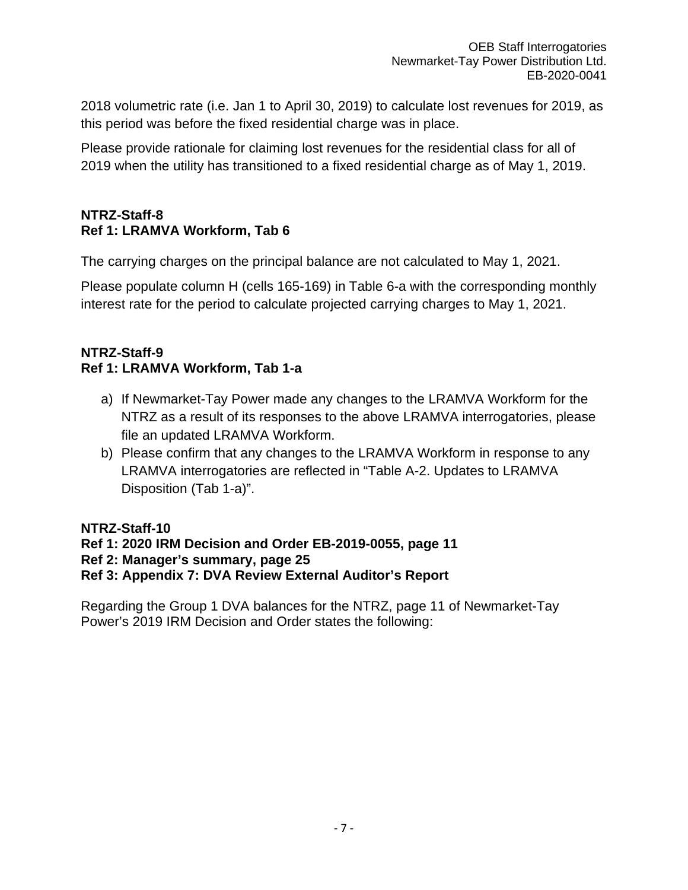2018 volumetric rate (i.e. Jan 1 to April 30, 2019) to calculate lost revenues for 2019, as this period was before the fixed residential charge was in place.

Please provide rationale for claiming lost revenues for the residential class for all of 2019 when the utility has transitioned to a fixed residential charge as of May 1, 2019.

### **NTRZ-Staff-8 Ref 1: LRAMVA Workform, Tab 6**

The carrying charges on the principal balance are not calculated to May 1, 2021.

Please populate column H (cells 165-169) in Table 6-a with the corresponding monthly interest rate for the period to calculate projected carrying charges to May 1, 2021.

### **NTRZ-Staff-9 Ref 1: LRAMVA Workform, Tab 1-a**

- a) If Newmarket-Tay Power made any changes to the LRAMVA Workform for the NTRZ as a result of its responses to the above LRAMVA interrogatories, please file an updated LRAMVA Workform.
- b) Please confirm that any changes to the LRAMVA Workform in response to any LRAMVA interrogatories are reflected in "Table A-2. Updates to LRAMVA Disposition (Tab 1-a)".

## **NTRZ-Staff-10**

- **Ref 1: 2020 IRM Decision and Order EB-2019-0055, page 11**
- **Ref 2: Manager's summary, page 25**

## **Ref 3: Appendix 7: DVA Review External Auditor's Report**

Regarding the Group 1 DVA balances for the NTRZ, page 11 of Newmarket-Tay Power's 2019 IRM Decision and Order states the following: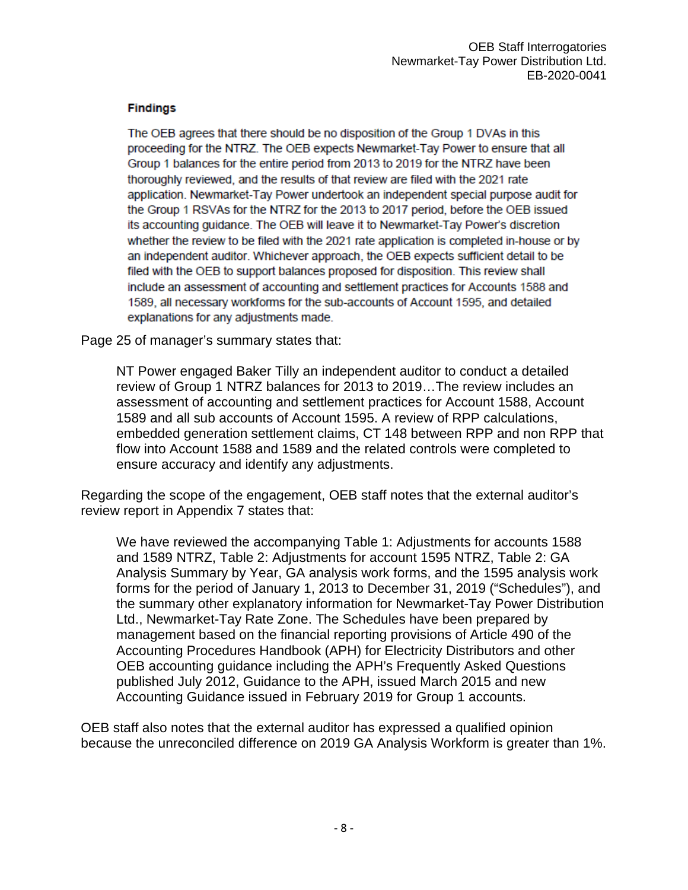### **Findings**

The OEB agrees that there should be no disposition of the Group 1 DVAs in this proceeding for the NTRZ. The OEB expects Newmarket-Tay Power to ensure that all Group 1 balances for the entire period from 2013 to 2019 for the NTRZ have been thoroughly reviewed, and the results of that review are filed with the 2021 rate application. Newmarket-Tay Power undertook an independent special purpose audit for the Group 1 RSVAs for the NTRZ for the 2013 to 2017 period, before the OEB issued its accounting guidance. The OEB will leave it to Newmarket-Tay Power's discretion whether the review to be filed with the 2021 rate application is completed in-house or by an independent auditor. Whichever approach, the OEB expects sufficient detail to be filed with the OEB to support balances proposed for disposition. This review shall include an assessment of accounting and settlement practices for Accounts 1588 and 1589, all necessary workforms for the sub-accounts of Account 1595, and detailed explanations for any adjustments made.

Page 25 of manager's summary states that:

NT Power engaged Baker Tilly an independent auditor to conduct a detailed review of Group 1 NTRZ balances for 2013 to 2019…The review includes an assessment of accounting and settlement practices for Account 1588, Account 1589 and all sub accounts of Account 1595. A review of RPP calculations, embedded generation settlement claims, CT 148 between RPP and non RPP that flow into Account 1588 and 1589 and the related controls were completed to ensure accuracy and identify any adjustments.

Regarding the scope of the engagement, OEB staff notes that the external auditor's review report in Appendix 7 states that:

We have reviewed the accompanying Table 1: Adjustments for accounts 1588 and 1589 NTRZ, Table 2: Adjustments for account 1595 NTRZ, Table 2: GA Analysis Summary by Year, GA analysis work forms, and the 1595 analysis work forms for the period of January 1, 2013 to December 31, 2019 ("Schedules"), and the summary other explanatory information for Newmarket-Tay Power Distribution Ltd., Newmarket-Tay Rate Zone. The Schedules have been prepared by management based on the financial reporting provisions of Article 490 of the Accounting Procedures Handbook (APH) for Electricity Distributors and other OEB accounting guidance including the APH's Frequently Asked Questions published July 2012, Guidance to the APH, issued March 2015 and new Accounting Guidance issued in February 2019 for Group 1 accounts.

OEB staff also notes that the external auditor has expressed a qualified opinion because the unreconciled difference on 2019 GA Analysis Workform is greater than 1%.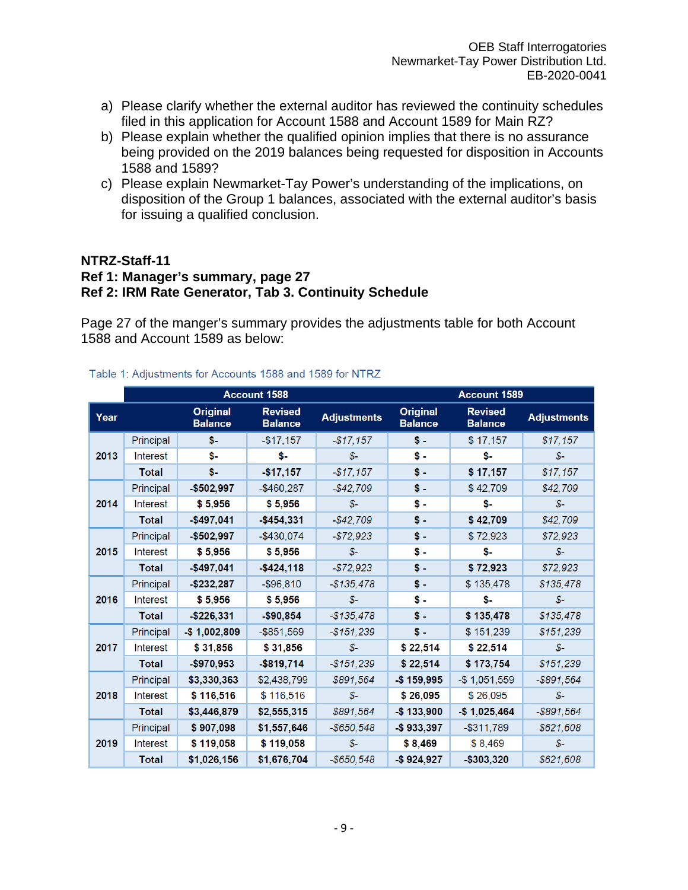- a) Please clarify whether the external auditor has reviewed the continuity schedules filed in this application for Account 1588 and Account 1589 for Main RZ?
- b) Please explain whether the qualified opinion implies that there is no assurance being provided on the 2019 balances being requested for disposition in Accounts 1588 and 1589?
- c) Please explain Newmarket-Tay Power's understanding of the implications, on disposition of the Group 1 balances, associated with the external auditor's basis for issuing a qualified conclusion.

### **NTRZ-Staff-11**

## **Ref 1: Manager's summary, page 27**

## **Ref 2: IRM Rate Generator, Tab 3. Continuity Schedule**

Page 27 of the manger's summary provides the adjustments table for both Account 1588 and Account 1589 as below:

### Table 1: Adjustments for Accounts 1588 and 1589 for NTRZ

|      |                 |                                   | <b>Account 1588</b>              |                    | Account 1589                      |                                  |                    |
|------|-----------------|-----------------------------------|----------------------------------|--------------------|-----------------------------------|----------------------------------|--------------------|
| Year |                 | <b>Original</b><br><b>Balance</b> | <b>Revised</b><br><b>Balance</b> | <b>Adjustments</b> | <b>Original</b><br><b>Balance</b> | <b>Revised</b><br><b>Balance</b> | <b>Adjustments</b> |
|      | Principal       | \$-                               | $-$17,157$                       | $-$ \$17,157       | $S -$                             | \$17,157                         | \$17,157           |
| 2013 | Interest        | \$-                               | \$-                              | $S -$              | $\mathbf{s}$ .                    | \$-                              | $S-$               |
|      | <b>Total</b>    | \$-                               | $-$17,157$                       | $-$17,157$         | $s -$                             | \$17,157                         | \$17,157           |
|      | Principal       | $-$502,997$                       | $-$460,287$                      | $-$42,709$         | $s -$                             | \$42,709                         | \$42,709           |
| 2014 | Interest        | \$5,956                           | \$5,956                          | S                  | \$-                               | \$-                              | \$-                |
|      | <b>Total</b>    | $-$497,041$                       | $-$454,331$                      | $-$42,709$         | $\mathbf{s}$ .                    | \$42,709                         | \$42,709           |
|      | Principal       | $-$502,997$                       | $-$430,074$                      | $-$72,923$         | \$-                               | \$72,923                         | \$72,923           |
| 2015 | <b>Interest</b> | \$5,956                           | \$5,956                          | $S-$               | \$-                               | \$-                              | $S-$               |
|      | <b>Total</b>    | $-$497,041$                       | $-$424,118$                      | $-$72,923$         | \$ -                              | \$72,923                         | \$72,923           |
|      | Principal       | $-$232,287$                       | $-$96,810$                       | $-$ \$135,478      | \$ -                              | \$135,478                        | \$135,478          |
| 2016 | <b>Interest</b> | \$5,956                           | \$5,956                          | $S-$               | \$-                               | \$-                              | $S-$               |
|      | <b>Total</b>    | $-$226,331$                       | $-$90,854$                       | $-$135,478$        | $s -$                             | \$135,478                        | \$135,478          |
|      | Principal       | $-$1,002,809$                     | $-$ \$851,569                    | $-$151,239$        | $S -$                             | \$151,239                        | \$151,239          |
| 2017 | <b>Interest</b> | \$31,856                          | \$31,856                         | $S-$               | \$22,514                          | \$22,514                         | \$-                |
|      | <b>Total</b>    | $-$970,953$                       | $-$ \$819,714                    | $-$151,239$        | \$22,514                          | \$173,754                        | \$151,239          |
|      | Principal       | \$3,330,363                       | \$2,438,799                      | \$891,564          | $-$159,995$                       | $-$1,051,559$                    | $-$ \$891,564      |
| 2018 | <b>Interest</b> | \$116,516                         | \$116,516                        | $S-$               | \$26,095                          | \$26,095                         | $S-$               |
|      | <b>Total</b>    | \$3,446,879                       | \$2,555,315                      | \$891,564          | \$133,900                         | $-$1,025,464$                    | $-$ \$891,564      |
|      | Principal       | \$907,098                         | \$1,557,646                      | $-$ \$650,548      | \$933,397                         | $-$ \$311,789                    | \$621,608          |
| 2019 | <b>Interest</b> | \$119,058                         | \$119,058                        | $S-$               | \$8,469                           | \$8,469                          | $S-$               |
|      | <b>Total</b>    | \$1,026,156                       | \$1,676,704                      | $-$ \$650,548      | $-$ \$924,927                     | -\$303,320                       | \$621,608          |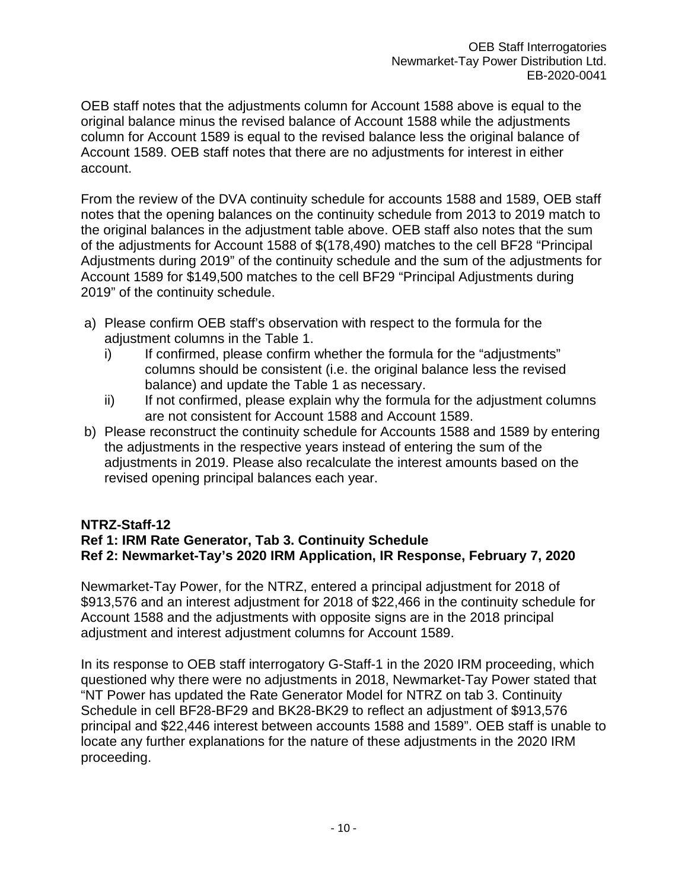OEB staff notes that the adjustments column for Account 1588 above is equal to the original balance minus the revised balance of Account 1588 while the adjustments column for Account 1589 is equal to the revised balance less the original balance of Account 1589. OEB staff notes that there are no adjustments for interest in either account.

From the review of the DVA continuity schedule for accounts 1588 and 1589, OEB staff notes that the opening balances on the continuity schedule from 2013 to 2019 match to the original balances in the adjustment table above. OEB staff also notes that the sum of the adjustments for Account 1588 of \$(178,490) matches to the cell BF28 "Principal Adjustments during 2019" of the continuity schedule and the sum of the adjustments for Account 1589 for \$149,500 matches to the cell BF29 "Principal Adjustments during 2019" of the continuity schedule.

- a) Please confirm OEB staff's observation with respect to the formula for the adjustment columns in the Table 1.
	- i) If confirmed, please confirm whether the formula for the "adjustments" columns should be consistent (i.e. the original balance less the revised balance) and update the Table 1 as necessary.
	- ii) If not confirmed, please explain why the formula for the adjustment columns are not consistent for Account 1588 and Account 1589.
- b) Please reconstruct the continuity schedule for Accounts 1588 and 1589 by entering the adjustments in the respective years instead of entering the sum of the adjustments in 2019. Please also recalculate the interest amounts based on the revised opening principal balances each year.

## **NTRZ-Staff-12**

## **Ref 1: IRM Rate Generator, Tab 3. Continuity Schedule Ref 2: Newmarket-Tay's 2020 IRM Application, IR Response, February 7, 2020**

Newmarket-Tay Power, for the NTRZ, entered a principal adjustment for 2018 of \$913,576 and an interest adjustment for 2018 of \$22,466 in the continuity schedule for Account 1588 and the adjustments with opposite signs are in the 2018 principal adjustment and interest adjustment columns for Account 1589.

In its response to OEB staff interrogatory G-Staff-1 in the 2020 IRM proceeding, which questioned why there were no adjustments in 2018, Newmarket-Tay Power stated that "NT Power has updated the Rate Generator Model for NTRZ on tab 3. Continuity Schedule in cell BF28-BF29 and BK28-BK29 to reflect an adjustment of \$913,576 principal and \$22,446 interest between accounts 1588 and 1589". OEB staff is unable to locate any further explanations for the nature of these adjustments in the 2020 IRM proceeding.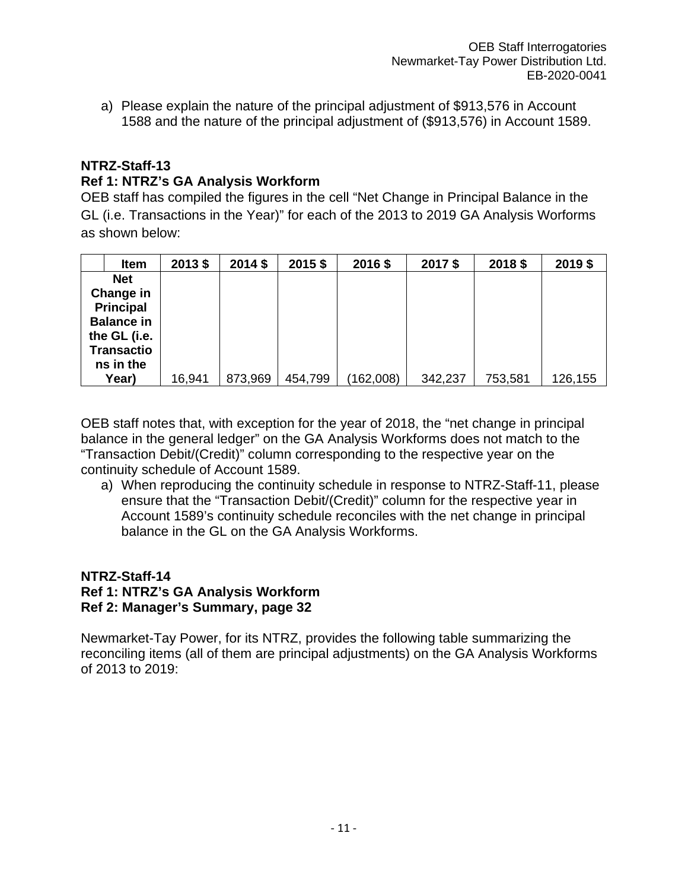a) Please explain the nature of the principal adjustment of \$913,576 in Account 1588 and the nature of the principal adjustment of (\$913,576) in Account 1589.

### **NTRZ-Staff-13**

### **Ref 1: NTRZ's GA Analysis Workform**

OEB staff has compiled the figures in the cell "Net Change in Principal Balance in the GL (i.e. Transactions in the Year)" for each of the 2013 to 2019 GA Analysis Worforms as shown below:

| <b>Item</b>                                                                                                        | 2013 \$ | 2014 \$ | 2015\$  | 2016\$    | 2017\$  | 2018 \$ | 2019 \$ |
|--------------------------------------------------------------------------------------------------------------------|---------|---------|---------|-----------|---------|---------|---------|
| <b>Net</b><br>Change in<br><b>Principal</b><br><b>Balance in</b><br>the GL (i.e.<br><b>Transactio</b><br>ns in the |         |         |         |           |         |         |         |
| Year)                                                                                                              | 16,941  | 873,969 | 454,799 | (162,008) | 342,237 | 753,581 | 126,155 |

OEB staff notes that, with exception for the year of 2018, the "net change in principal balance in the general ledger" on the GA Analysis Workforms does not match to the "Transaction Debit/(Credit)" column corresponding to the respective year on the continuity schedule of Account 1589.

a) When reproducing the continuity schedule in response to NTRZ-Staff-11, please ensure that the "Transaction Debit/(Credit)" column for the respective year in Account 1589's continuity schedule reconciles with the net change in principal balance in the GL on the GA Analysis Workforms.

### **NTRZ-Staff-14 Ref 1: NTRZ's GA Analysis Workform Ref 2: Manager's Summary, page 32**

Newmarket-Tay Power, for its NTRZ, provides the following table summarizing the reconciling items (all of them are principal adjustments) on the GA Analysis Workforms of 2013 to 2019: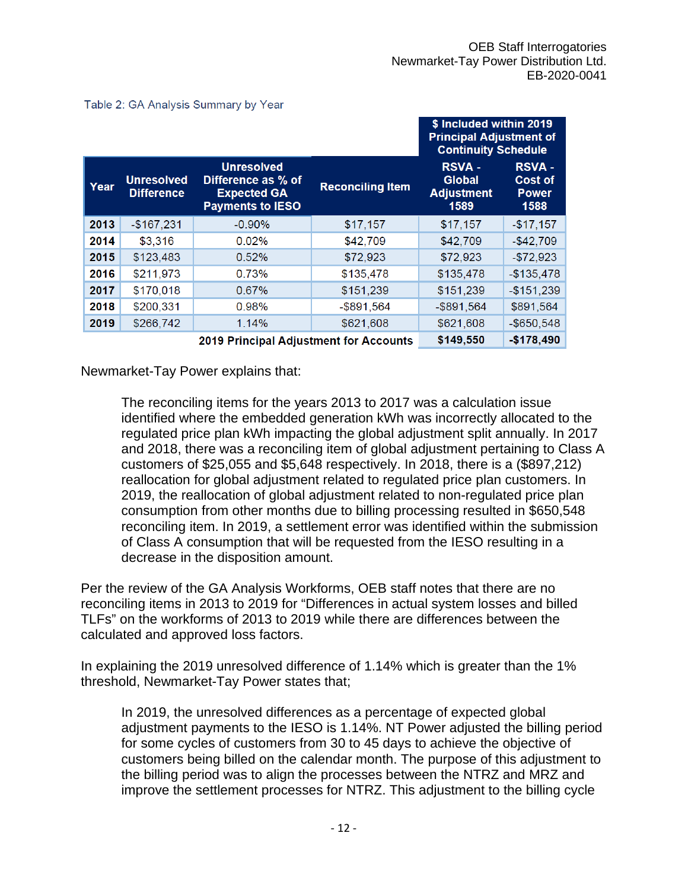\$ Included within 2019 **Principal Adjustment of Continuity Schedule RSVA -Unresolved RSVA -Unresolved** Difference as % of **Global Cost of** Year **Reconciling Item Difference Expected GA Adjustment** Power **Payments to IESO** 1589 1588 2013  $-$167,231$  $-0.90%$  $$17,157$  $$17,157$  $-$17,157$ 2014 \$3,316 0.02% \$42,709 \$42,709  $-$ \$42,709 2015 \$123,483 0.52% \$72,923 \$72,923  $-$72,923$ 2016 \$211,973 0.73% \$135,478 \$135,478  $-$135,478$ 2017 \$170,018 \$151,239 \$151,239  $-$151,239$ 0.67% 2018 \$200,331 0.98%  $-$ \$891,564  $-$ \$891,564 \$891,564 2019 \$266,742 \$621,608 1.14% \$621,608  $-$ \$650.548 \$149,550  $-$178,490$ 2019 Principal Adjustment for Accounts

Table 2: GA Analysis Summary by Year

Newmarket-Tay Power explains that:

The reconciling items for the years 2013 to 2017 was a calculation issue identified where the embedded generation kWh was incorrectly allocated to the regulated price plan kWh impacting the global adjustment split annually. In 2017 and 2018, there was a reconciling item of global adjustment pertaining to Class A customers of \$25,055 and \$5,648 respectively. In 2018, there is a (\$897,212) reallocation for global adjustment related to regulated price plan customers. In 2019, the reallocation of global adjustment related to non-regulated price plan consumption from other months due to billing processing resulted in \$650,548 reconciling item. In 2019, a settlement error was identified within the submission of Class A consumption that will be requested from the IESO resulting in a decrease in the disposition amount.

Per the review of the GA Analysis Workforms, OEB staff notes that there are no reconciling items in 2013 to 2019 for "Differences in actual system losses and billed TLFs" on the workforms of 2013 to 2019 while there are differences between the calculated and approved loss factors.

In explaining the 2019 unresolved difference of 1.14% which is greater than the 1% threshold, Newmarket-Tay Power states that;

In 2019, the unresolved differences as a percentage of expected global adjustment payments to the IESO is 1.14%. NT Power adjusted the billing period for some cycles of customers from 30 to 45 days to achieve the objective of customers being billed on the calendar month. The purpose of this adjustment to the billing period was to align the processes between the NTRZ and MRZ and improve the settlement processes for NTRZ. This adjustment to the billing cycle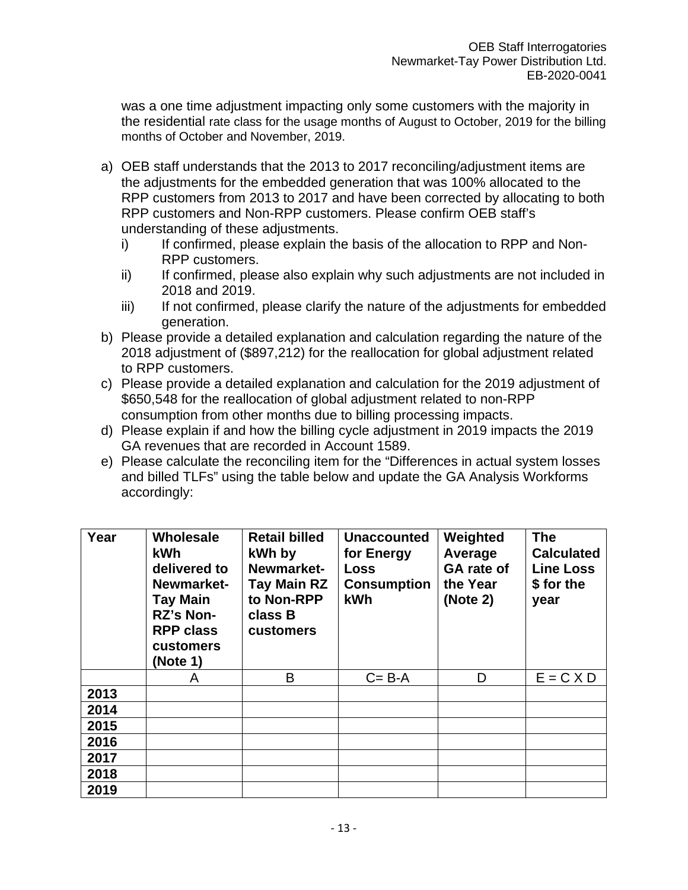was a one time adjustment impacting only some customers with the majority in the residential rate class for the usage months of August to October, 2019 for the billing months of October and November, 2019.

- a) OEB staff understands that the 2013 to 2017 reconciling/adjustment items are the adjustments for the embedded generation that was 100% allocated to the RPP customers from 2013 to 2017 and have been corrected by allocating to both RPP customers and Non-RPP customers. Please confirm OEB staff's understanding of these adjustments.
	- i) If confirmed, please explain the basis of the allocation to RPP and Non-RPP customers.
	- ii) If confirmed, please also explain why such adjustments are not included in 2018 and 2019.
	- iii) If not confirmed, please clarify the nature of the adjustments for embedded generation.
- b) Please provide a detailed explanation and calculation regarding the nature of the 2018 adjustment of (\$897,212) for the reallocation for global adjustment related to RPP customers.
- c) Please provide a detailed explanation and calculation for the 2019 adjustment of \$650,548 for the reallocation of global adjustment related to non-RPP consumption from other months due to billing processing impacts.
- d) Please explain if and how the billing cycle adjustment in 2019 impacts the 2019 GA revenues that are recorded in Account 1589.
- e) Please calculate the reconciling item for the "Differences in actual system losses and billed TLFs" using the table below and update the GA Analysis Workforms accordingly:

| Year | Wholesale<br>kWh<br>delivered to<br>Newmarket-<br><b>Tay Main</b><br>RZ's Non-<br><b>RPP class</b><br>customers<br>(Note 1) | <b>Retail billed</b><br>kWh by<br>Newmarket-<br>Tay Main RZ<br>to Non-RPP<br>class B<br>customers | <b>Unaccounted</b><br>for Energy<br>Loss<br><b>Consumption</b><br><b>kWh</b> | Weighted<br>Average<br><b>GA</b> rate of<br>the Year<br>(Note 2) | <b>The</b><br><b>Calculated</b><br><b>Line Loss</b><br>\$ for the<br>year |
|------|-----------------------------------------------------------------------------------------------------------------------------|---------------------------------------------------------------------------------------------------|------------------------------------------------------------------------------|------------------------------------------------------------------|---------------------------------------------------------------------------|
|      | A                                                                                                                           | B                                                                                                 | $C = B - A$                                                                  | D                                                                | $E = C \times D$                                                          |
| 2013 |                                                                                                                             |                                                                                                   |                                                                              |                                                                  |                                                                           |
| 2014 |                                                                                                                             |                                                                                                   |                                                                              |                                                                  |                                                                           |
| 2015 |                                                                                                                             |                                                                                                   |                                                                              |                                                                  |                                                                           |
| 2016 |                                                                                                                             |                                                                                                   |                                                                              |                                                                  |                                                                           |
| 2017 |                                                                                                                             |                                                                                                   |                                                                              |                                                                  |                                                                           |
| 2018 |                                                                                                                             |                                                                                                   |                                                                              |                                                                  |                                                                           |
| 2019 |                                                                                                                             |                                                                                                   |                                                                              |                                                                  |                                                                           |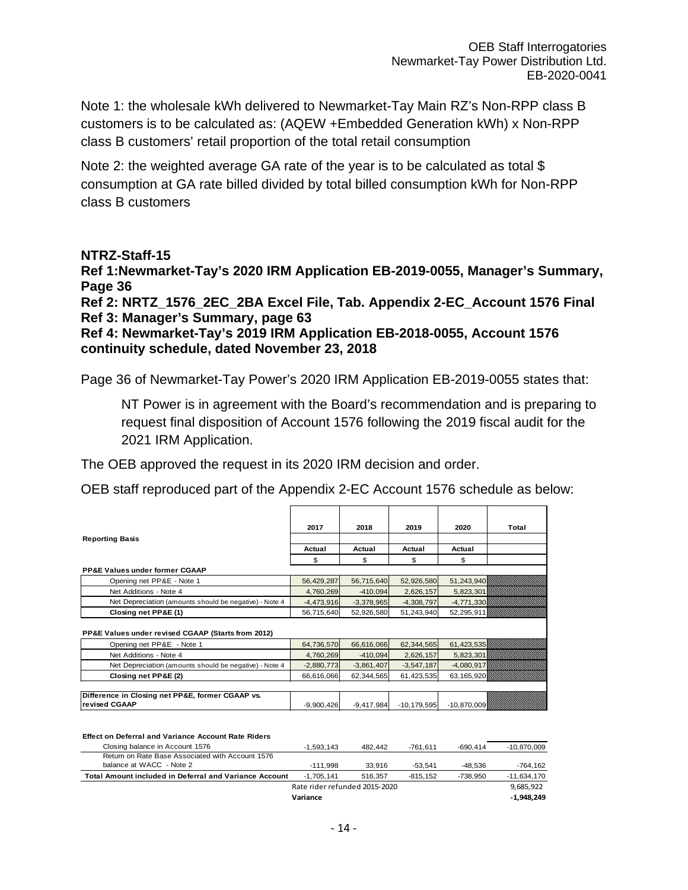Note 1: the wholesale kWh delivered to Newmarket-Tay Main RZ's Non-RPP class B customers is to be calculated as: (AQEW +Embedded Generation kWh) x Non-RPP class B customers' retail proportion of the total retail consumption

Note 2: the weighted average GA rate of the year is to be calculated as total \$ consumption at GA rate billed divided by total billed consumption kWh for Non-RPP class B customers

### **NTRZ-Staff-15**

**Ref 1:Newmarket-Tay's 2020 IRM Application EB-2019-0055, Manager's Summary, Page 36**

**Ref 2: NRTZ\_1576\_2EC\_2BA Excel File, Tab. Appendix 2-EC\_Account 1576 Final Ref 3: Manager's Summary, page 63**

**Ref 4: Newmarket-Tay's 2019 IRM Application EB-2018-0055, Account 1576 continuity schedule, dated November 23, 2018**

Page 36 of Newmarket-Tay Power's 2020 IRM Application EB-2019-0055 states that:

NT Power is in agreement with the Board's recommendation and is preparing to request final disposition of Account 1576 following the 2019 fiscal audit for the 2021 IRM Application.

The OEB approved the request in its 2020 IRM decision and order.

OEB staff reproduced part of the Appendix 2-EC Account 1576 schedule as below:

|                                                        | 2017         | 2018         | 2019         | 2020         | Total |
|--------------------------------------------------------|--------------|--------------|--------------|--------------|-------|
| <b>Reporting Basis</b>                                 |              |              |              |              |       |
|                                                        | Actual       | Actual       | Actual       | Actual       |       |
|                                                        | \$           | \$           | \$           | \$           |       |
| <b>PP&amp;E Values under former CGAAP</b>              |              |              |              |              |       |
| Opening net PP&E - Note 1                              | 56,429,287   | 56,715,640   | 52,926,580   | 51,243,940   |       |
| Net Additions - Note 4                                 | 4,760,269    | $-410,094$   | 2,626,157    | 5,823,301    |       |
| Net Depreciation (amounts should be negative) - Note 4 | $-4,473,916$ | $-3,378,965$ | $-4,308,797$ | $-4,771,330$ |       |
| Closing net PP&E (1)                                   | 56,715,640   | 52,926,580   | 51,243,940   | 52,295,911   |       |
| PP&E Values under revised CGAAP (Starts from 2012)     |              |              |              |              |       |
|                                                        |              |              | 62,344,565   | 61,423,535   |       |
| Opening net PP&E - Note 1                              | 64,736,570   | 66,616,066   |              |              |       |
| Net Additions - Note 4                                 | 4,760,269    | $-410.094$   | 2,626,157    | 5,823,301    |       |
| Net Depreciation (amounts should be negative) - Note 4 | $-2,880,773$ | $-3,861,407$ | $-3,547,187$ | $-4,080,917$ |       |
| Closing net PP&E (2)                                   | 66,616,066   | 62,344,565   | 61,423,535   | 63, 165, 920 |       |
|                                                        |              |              |              |              |       |

#### **Effect on Deferral and Variance Account Rate Riders** Closing balance in Account 1576 -1,593,143 482,442 -761,611 -690,414 -10,870,009 Return on Rate Base Associated with Account 1576

|                                                        | Variance                      |         |            |          | $-1.948.249$  |
|--------------------------------------------------------|-------------------------------|---------|------------|----------|---------------|
|                                                        | Rate rider refunded 2015-2020 |         |            |          | 9.685.922     |
| Total Amount included in Deferral and Variance Account | $-1.705.141$                  | 516.357 | $-815.152$ | -738.950 | $-11.634.170$ |
| balance at WACC - Note 2                               | -111.998                      | 33.916  | -53.541    | -48.536  | $-764.162$    |
|                                                        |                               |         |            |          |               |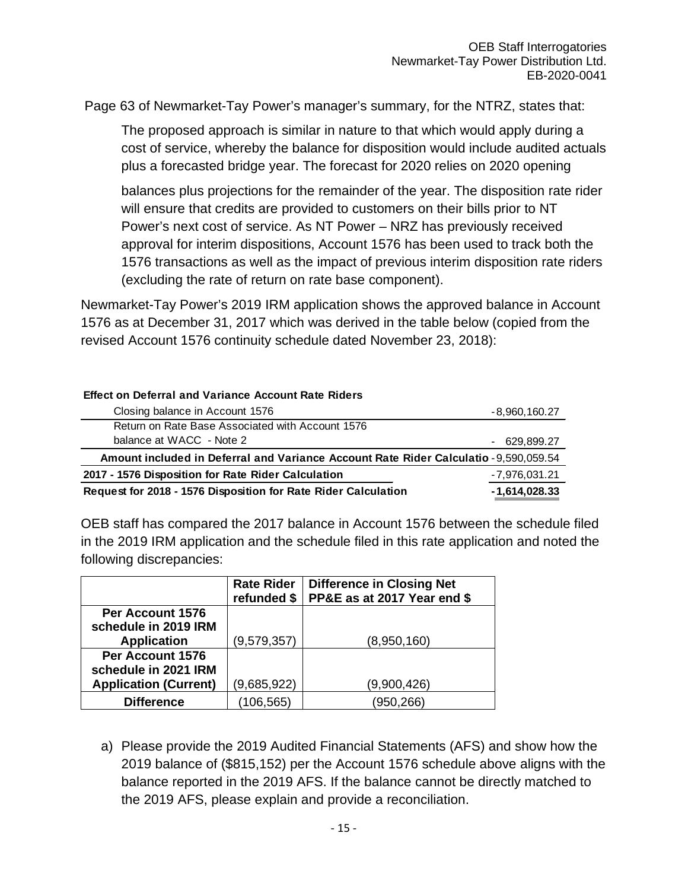Page 63 of Newmarket-Tay Power's manager's summary, for the NTRZ, states that:

The proposed approach is similar in nature to that which would apply during a cost of service, whereby the balance for disposition would include audited actuals plus a forecasted bridge year. The forecast for 2020 relies on 2020 opening

balances plus projections for the remainder of the year. The disposition rate rider will ensure that credits are provided to customers on their bills prior to NT Power's next cost of service. As NT Power – NRZ has previously received approval for interim dispositions, Account 1576 has been used to track both the 1576 transactions as well as the impact of previous interim disposition rate riders (excluding the rate of return on rate base component).

Newmarket-Tay Power's 2019 IRM application shows the approved balance in Account 1576 as at December 31, 2017 which was derived in the table below (copied from the revised Account 1576 continuity schedule dated November 23, 2018):

### **Effect on Deferral and Variance Account Rate Riders**

| Closing balance in Account 1576                                                       | $-8,960,160.27$ |  |  |
|---------------------------------------------------------------------------------------|-----------------|--|--|
| Return on Rate Base Associated with Account 1576                                      |                 |  |  |
| balance at WACC - Note 2                                                              | $-629,899.27$   |  |  |
| Amount included in Deferral and Variance Account Rate Rider Calculatio - 9,590,059.54 |                 |  |  |
| 2017 - 1576 Disposition for Rate Rider Calculation                                    | -7,976,031.21   |  |  |
| Request for 2018 - 1576 Disposition for Rate Rider Calculation                        | $-1,614,028.33$ |  |  |

OEB staff has compared the 2017 balance in Account 1576 between the schedule filed in the 2019 IRM application and the schedule filed in this rate application and noted the following discrepancies:

|                              | <b>Rate Rider</b><br>refunded \$ | <b>Difference in Closing Net</b><br>PP&E as at 2017 Year end \$ |
|------------------------------|----------------------------------|-----------------------------------------------------------------|
| Per Account 1576             |                                  |                                                                 |
| schedule in 2019 IRM         |                                  |                                                                 |
| <b>Application</b>           | (9,579,357)                      | (8,950,160)                                                     |
| Per Account 1576             |                                  |                                                                 |
| schedule in 2021 IRM         |                                  |                                                                 |
| <b>Application (Current)</b> | (9,685,922)                      | (9,900,426)                                                     |
| <b>Difference</b>            | (106, 565)                       | (950,266)                                                       |

a) Please provide the 2019 Audited Financial Statements (AFS) and show how the 2019 balance of (\$815,152) per the Account 1576 schedule above aligns with the balance reported in the 2019 AFS. If the balance cannot be directly matched to the 2019 AFS, please explain and provide a reconciliation.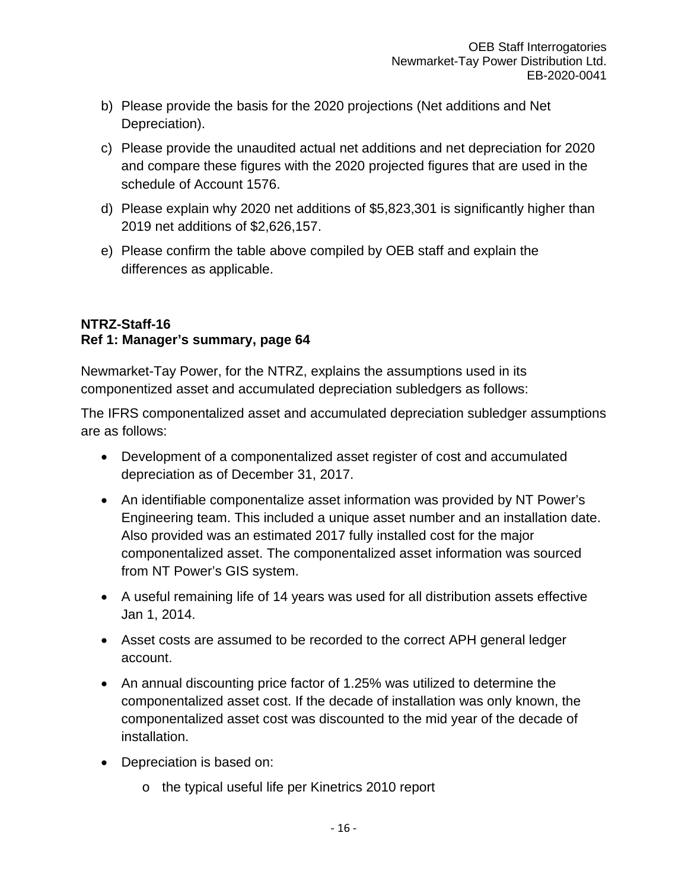- b) Please provide the basis for the 2020 projections (Net additions and Net Depreciation).
- c) Please provide the unaudited actual net additions and net depreciation for 2020 and compare these figures with the 2020 projected figures that are used in the schedule of Account 1576.
- d) Please explain why 2020 net additions of \$5,823,301 is significantly higher than 2019 net additions of \$2,626,157.
- e) Please confirm the table above compiled by OEB staff and explain the differences as applicable.

## **NTRZ-Staff-16 Ref 1: Manager's summary, page 64**

Newmarket-Tay Power, for the NTRZ, explains the assumptions used in its componentized asset and accumulated depreciation subledgers as follows:

The IFRS componentalized asset and accumulated depreciation subledger assumptions are as follows:

- Development of a componentalized asset register of cost and accumulated depreciation as of December 31, 2017.
- An identifiable componentalize asset information was provided by NT Power's Engineering team. This included a unique asset number and an installation date. Also provided was an estimated 2017 fully installed cost for the major componentalized asset. The componentalized asset information was sourced from NT Power's GIS system.
- A useful remaining life of 14 years was used for all distribution assets effective Jan 1, 2014.
- Asset costs are assumed to be recorded to the correct APH general ledger account.
- An annual discounting price factor of 1.25% was utilized to determine the componentalized asset cost. If the decade of installation was only known, the componentalized asset cost was discounted to the mid year of the decade of installation.
- Depreciation is based on:
	- o the typical useful life per Kinetrics 2010 report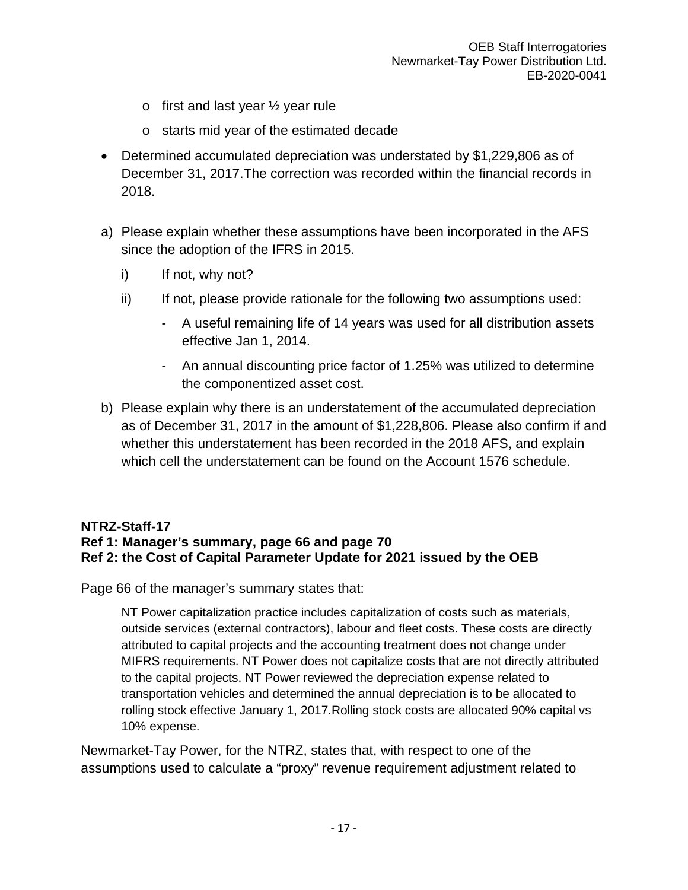- $\circ$  first and last year  $\frac{1}{2}$  year rule
- o starts mid year of the estimated decade
- Determined accumulated depreciation was understated by \$1,229,806 as of December 31, 2017.The correction was recorded within the financial records in 2018.
- a) Please explain whether these assumptions have been incorporated in the AFS since the adoption of the IFRS in 2015.
	- i) If not, why not?
	- ii) If not, please provide rationale for the following two assumptions used:
		- A useful remaining life of 14 years was used for all distribution assets effective Jan 1, 2014.
		- An annual discounting price factor of 1.25% was utilized to determine the componentized asset cost.
- b) Please explain why there is an understatement of the accumulated depreciation as of December 31, 2017 in the amount of \$1,228,806. Please also confirm if and whether this understatement has been recorded in the 2018 AFS, and explain which cell the understatement can be found on the Account 1576 schedule.

### **NTRZ-Staff-17 Ref 1: Manager's summary, page 66 and page 70 Ref 2: the Cost of Capital Parameter Update for 2021 issued by the OEB**

Page 66 of the manager's summary states that:

NT Power capitalization practice includes capitalization of costs such as materials, outside services (external contractors), labour and fleet costs. These costs are directly attributed to capital projects and the accounting treatment does not change under MIFRS requirements. NT Power does not capitalize costs that are not directly attributed to the capital projects. NT Power reviewed the depreciation expense related to transportation vehicles and determined the annual depreciation is to be allocated to rolling stock effective January 1, 2017.Rolling stock costs are allocated 90% capital vs 10% expense.

Newmarket-Tay Power, for the NTRZ, states that, with respect to one of the assumptions used to calculate a "proxy" revenue requirement adjustment related to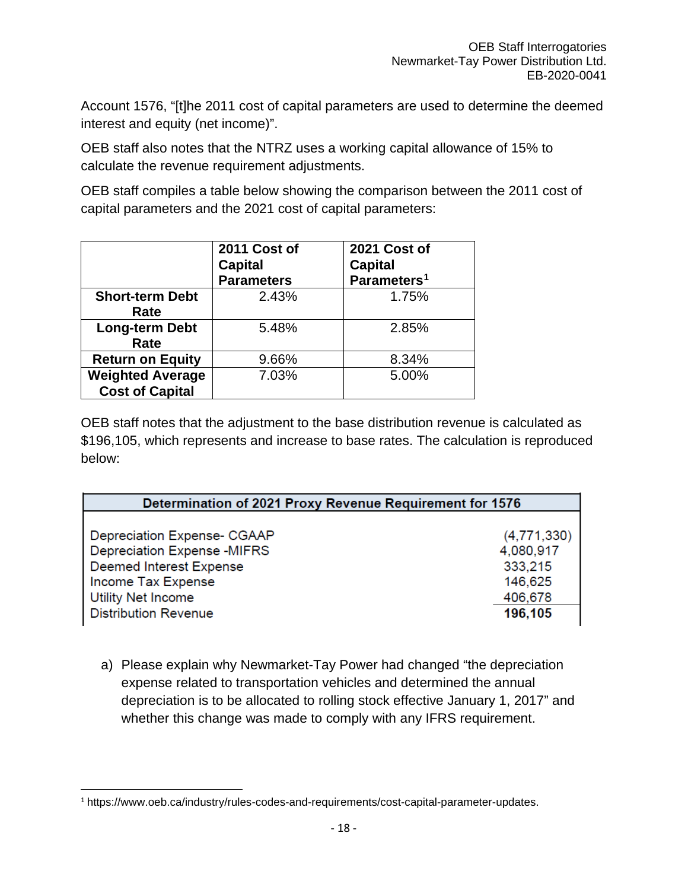Account 1576, "[t]he 2011 cost of capital parameters are used to determine the deemed interest and equity (net income)".

OEB staff also notes that the NTRZ uses a working capital allowance of 15% to calculate the revenue requirement adjustments.

OEB staff compiles a table below showing the comparison between the 2011 cost of capital parameters and the 2021 cost of capital parameters:

|                                                   | 2011 Cost of<br><b>Capital</b><br><b>Parameters</b> | 2021 Cost of<br><b>Capital</b><br>Parameters <sup>1</sup> |
|---------------------------------------------------|-----------------------------------------------------|-----------------------------------------------------------|
| <b>Short-term Debt</b><br>Rate                    | 2.43%                                               | 1.75%                                                     |
| <b>Long-term Debt</b><br>Rate                     | 5.48%                                               | 2.85%                                                     |
| <b>Return on Equity</b>                           | 9.66%                                               | 8.34%                                                     |
| <b>Weighted Average</b><br><b>Cost of Capital</b> | 7.03%                                               | 5.00%                                                     |

OEB staff notes that the adjustment to the base distribution revenue is calculated as \$196,105, which represents and increase to base rates. The calculation is reproduced below:

| Determination of 2021 Proxy Revenue Requirement for 1576 |             |
|----------------------------------------------------------|-------------|
|                                                          |             |
| Depreciation Expense- CGAAP                              | (4,771,330) |
| Depreciation Expense - MIFRS                             | 4,080,917   |
| Deemed Interest Expense                                  | 333,215     |
| Income Tax Expense                                       | 146,625     |
| Utility Net Income                                       | 406,678     |
| <b>Distribution Revenue</b>                              | 196,105     |

a) Please explain why Newmarket-Tay Power had changed "the depreciation expense related to transportation vehicles and determined the annual depreciation is to be allocated to rolling stock effective January 1, 2017" and whether this change was made to comply with any IFRS requirement.

<span id="page-17-0"></span><sup>1</sup> https://www.oeb.ca/industry/rules-codes-and-requirements/cost-capital-parameter-updates.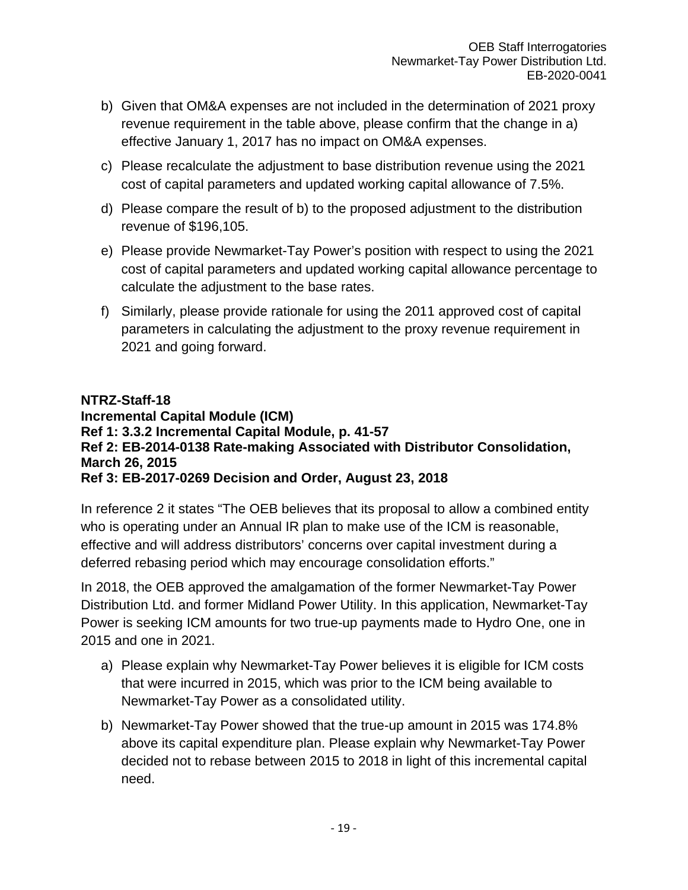- b) Given that OM&A expenses are not included in the determination of 2021 proxy revenue requirement in the table above, please confirm that the change in a) effective January 1, 2017 has no impact on OM&A expenses.
- c) Please recalculate the adjustment to base distribution revenue using the 2021 cost of capital parameters and updated working capital allowance of 7.5%.
- d) Please compare the result of b) to the proposed adjustment to the distribution revenue of \$196,105.
- e) Please provide Newmarket-Tay Power's position with respect to using the 2021 cost of capital parameters and updated working capital allowance percentage to calculate the adjustment to the base rates.
- f) Similarly, please provide rationale for using the 2011 approved cost of capital parameters in calculating the adjustment to the proxy revenue requirement in 2021 and going forward.

### **NTRZ-Staff-18 Incremental Capital Module (ICM) Ref 1: 3.3.2 Incremental Capital Module, p. 41-57 Ref 2: EB-2014-0138 Rate-making Associated with Distributor Consolidation, March 26, 2015 Ref 3: EB-2017-0269 Decision and Order, August 23, 2018**

In reference 2 it states "The OEB believes that its proposal to allow a combined entity who is operating under an Annual IR plan to make use of the ICM is reasonable, effective and will address distributors' concerns over capital investment during a deferred rebasing period which may encourage consolidation efforts."

In 2018, the OEB approved the amalgamation of the former Newmarket-Tay Power Distribution Ltd. and former Midland Power Utility. In this application, Newmarket-Tay Power is seeking ICM amounts for two true-up payments made to Hydro One, one in 2015 and one in 2021.

- a) Please explain why Newmarket-Tay Power believes it is eligible for ICM costs that were incurred in 2015, which was prior to the ICM being available to Newmarket-Tay Power as a consolidated utility.
- b) Newmarket-Tay Power showed that the true-up amount in 2015 was 174.8% above its capital expenditure plan. Please explain why Newmarket-Tay Power decided not to rebase between 2015 to 2018 in light of this incremental capital need.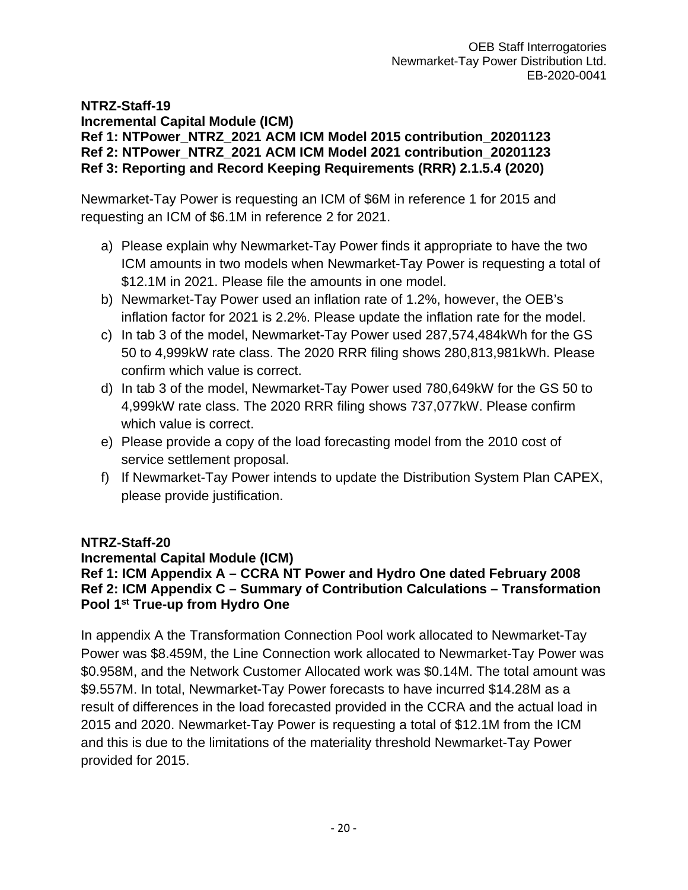**NTRZ-Staff-19 Incremental Capital Module (ICM) Ref 1: NTPower\_NTRZ\_2021 ACM ICM Model 2015 contribution\_20201123 Ref 2: NTPower\_NTRZ\_2021 ACM ICM Model 2021 contribution\_20201123 Ref 3: Reporting and Record Keeping Requirements (RRR) 2.1.5.4 (2020)**

Newmarket-Tay Power is requesting an ICM of \$6M in reference 1 for 2015 and requesting an ICM of \$6.1M in reference 2 for 2021.

- a) Please explain why Newmarket-Tay Power finds it appropriate to have the two ICM amounts in two models when Newmarket-Tay Power is requesting a total of \$12.1M in 2021. Please file the amounts in one model.
- b) Newmarket-Tay Power used an inflation rate of 1.2%, however, the OEB's inflation factor for 2021 is 2.2%. Please update the inflation rate for the model.
- c) In tab 3 of the model, Newmarket-Tay Power used 287,574,484kWh for the GS 50 to 4,999kW rate class. The 2020 RRR filing shows 280,813,981kWh. Please confirm which value is correct.
- d) In tab 3 of the model, Newmarket-Tay Power used 780,649kW for the GS 50 to 4,999kW rate class. The 2020 RRR filing shows 737,077kW. Please confirm which value is correct.
- e) Please provide a copy of the load forecasting model from the 2010 cost of service settlement proposal.
- f) If Newmarket-Tay Power intends to update the Distribution System Plan CAPEX, please provide justification.

## **NTRZ-Staff-20**

### **Incremental Capital Module (ICM) Ref 1: ICM Appendix A – CCRA NT Power and Hydro One dated February 2008 Ref 2: ICM Appendix C – Summary of Contribution Calculations – Transformation Pool 1st True-up from Hydro One**

In appendix A the Transformation Connection Pool work allocated to Newmarket-Tay Power was \$8.459M, the Line Connection work allocated to Newmarket-Tay Power was \$0.958M, and the Network Customer Allocated work was \$0.14M. The total amount was \$9.557M. In total, Newmarket-Tay Power forecasts to have incurred \$14.28M as a result of differences in the load forecasted provided in the CCRA and the actual load in 2015 and 2020. Newmarket-Tay Power is requesting a total of \$12.1M from the ICM and this is due to the limitations of the materiality threshold Newmarket-Tay Power provided for 2015.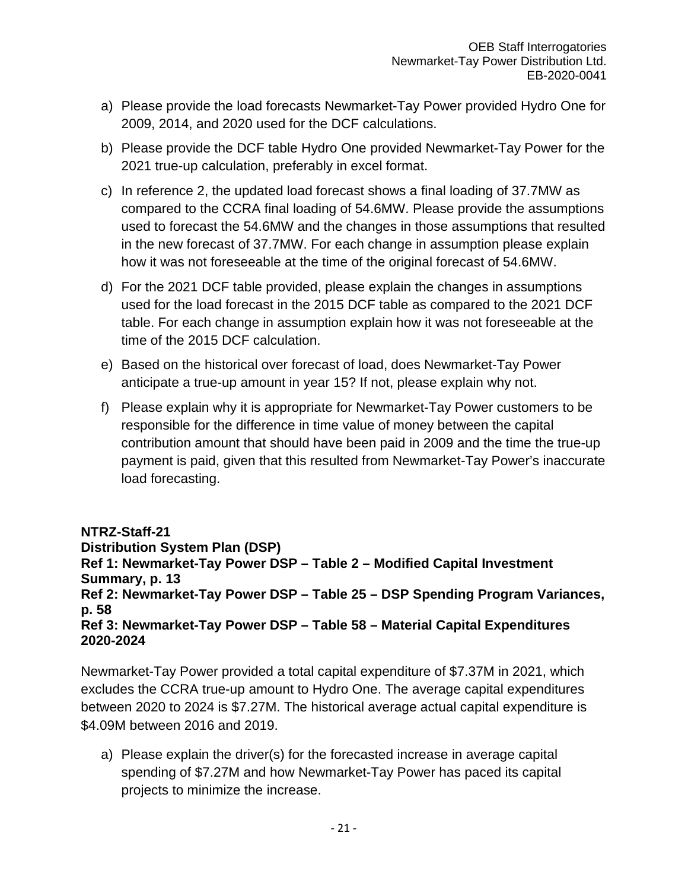- a) Please provide the load forecasts Newmarket-Tay Power provided Hydro One for 2009, 2014, and 2020 used for the DCF calculations.
- b) Please provide the DCF table Hydro One provided Newmarket-Tay Power for the 2021 true-up calculation, preferably in excel format.
- c) In reference 2, the updated load forecast shows a final loading of 37.7MW as compared to the CCRA final loading of 54.6MW. Please provide the assumptions used to forecast the 54.6MW and the changes in those assumptions that resulted in the new forecast of 37.7MW. For each change in assumption please explain how it was not foreseeable at the time of the original forecast of 54.6MW.
- d) For the 2021 DCF table provided, please explain the changes in assumptions used for the load forecast in the 2015 DCF table as compared to the 2021 DCF table. For each change in assumption explain how it was not foreseeable at the time of the 2015 DCF calculation.
- e) Based on the historical over forecast of load, does Newmarket-Tay Power anticipate a true-up amount in year 15? If not, please explain why not.
- f) Please explain why it is appropriate for Newmarket-Tay Power customers to be responsible for the difference in time value of money between the capital contribution amount that should have been paid in 2009 and the time the true-up payment is paid, given that this resulted from Newmarket-Tay Power's inaccurate load forecasting.

**NTRZ-Staff-21 Distribution System Plan (DSP) Ref 1: Newmarket-Tay Power DSP – Table 2 – Modified Capital Investment Summary, p. 13 Ref 2: Newmarket-Tay Power DSP – Table 25 – DSP Spending Program Variances, p. 58 Ref 3: Newmarket-Tay Power DSP – Table 58 – Material Capital Expenditures 2020-2024**

Newmarket-Tay Power provided a total capital expenditure of \$7.37M in 2021, which excludes the CCRA true-up amount to Hydro One. The average capital expenditures between 2020 to 2024 is \$7.27M. The historical average actual capital expenditure is \$4.09M between 2016 and 2019.

a) Please explain the driver(s) for the forecasted increase in average capital spending of \$7.27M and how Newmarket-Tay Power has paced its capital projects to minimize the increase.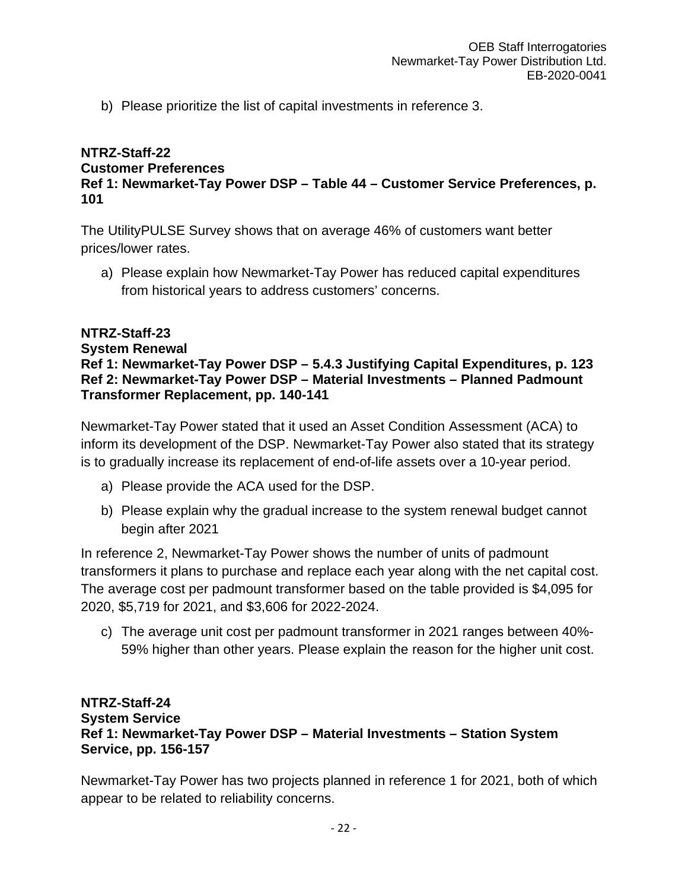b) Please prioritize the list of capital investments in reference 3.

### **NTRZ-Staff-22 Customer Preferences Ref 1: Newmarket-Tay Power DSP – Table 44 – Customer Service Preferences, p. 101**

The UtilityPULSE Survey shows that on average 46% of customers want better prices/lower rates.

a) Please explain how Newmarket-Tay Power has reduced capital expenditures from historical years to address customers' concerns.

### **NTRZ-Staff-23 System Renewal Ref 1: Newmarket-Tay Power DSP – 5.4.3 Justifying Capital Expenditures, p. 123 Ref 2: Newmarket-Tay Power DSP – Material Investments – Planned Padmount Transformer Replacement, pp. 140-141**

Newmarket-Tay Power stated that it used an Asset Condition Assessment (ACA) to inform its development of the DSP. Newmarket-Tay Power also stated that its strategy is to gradually increase its replacement of end-of-life assets over a 10-year period.

- a) Please provide the ACA used for the DSP.
- b) Please explain why the gradual increase to the system renewal budget cannot begin after 2021

In reference 2, Newmarket-Tay Power shows the number of units of padmount transformers it plans to purchase and replace each year along with the net capital cost. The average cost per padmount transformer based on the table provided is \$4,095 for 2020, \$5,719 for 2021, and \$3,606 for 2022-2024.

c) The average unit cost per padmount transformer in 2021 ranges between 40%- 59% higher than other years. Please explain the reason for the higher unit cost.

### **NTRZ-Staff-24 System Service Ref 1: Newmarket-Tay Power DSP – Material Investments – Station System Service, pp. 156-157**

Newmarket-Tay Power has two projects planned in reference 1 for 2021, both of which appear to be related to reliability concerns.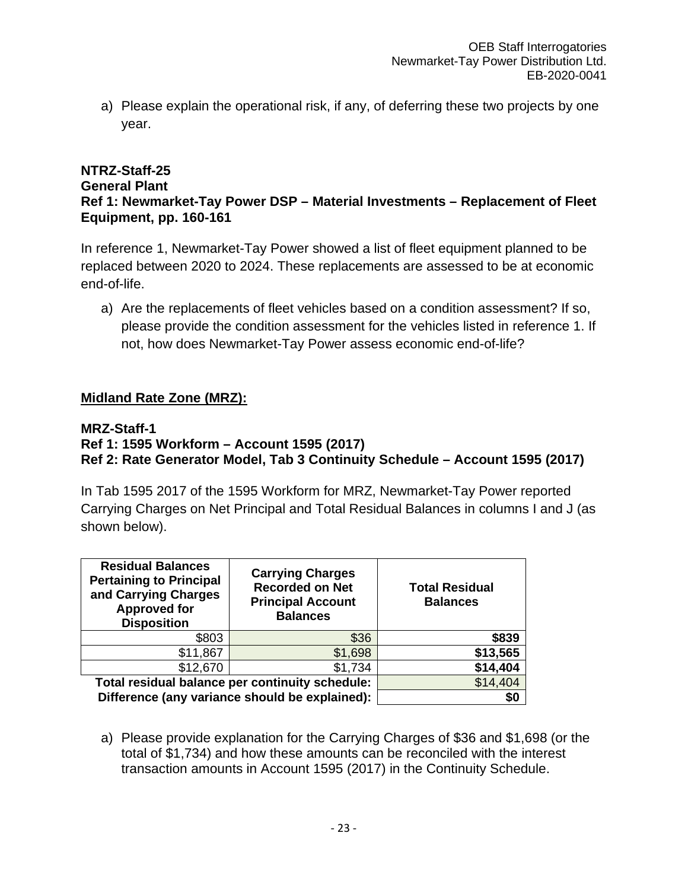a) Please explain the operational risk, if any, of deferring these two projects by one year.

### **NTRZ-Staff-25 General Plant Ref 1: Newmarket-Tay Power DSP – Material Investments – Replacement of Fleet Equipment, pp. 160-161**

In reference 1, Newmarket-Tay Power showed a list of fleet equipment planned to be replaced between 2020 to 2024. These replacements are assessed to be at economic end-of-life.

a) Are the replacements of fleet vehicles based on a condition assessment? If so, please provide the condition assessment for the vehicles listed in reference 1. If not, how does Newmarket-Tay Power assess economic end-of-life?

## **Midland Rate Zone (MRZ):**

### **MRZ-Staff-1**

## **Ref 1: 1595 Workform – Account 1595 (2017) Ref 2: Rate Generator Model, Tab 3 Continuity Schedule – Account 1595 (2017)**

In Tab 1595 2017 of the 1595 Workform for MRZ, Newmarket-Tay Power reported Carrying Charges on Net Principal and Total Residual Balances in columns I and J (as shown below).

| <b>Residual Balances</b><br><b>Pertaining to Principal</b><br>and Carrying Charges<br><b>Approved for</b><br><b>Disposition</b> | <b>Carrying Charges</b><br><b>Recorded on Net</b><br><b>Principal Account</b><br><b>Balances</b> | <b>Total Residual</b><br><b>Balances</b> |
|---------------------------------------------------------------------------------------------------------------------------------|--------------------------------------------------------------------------------------------------|------------------------------------------|
| \$803                                                                                                                           | \$36                                                                                             | \$839                                    |
| \$11,867                                                                                                                        | \$1,698                                                                                          | \$13,565                                 |
| \$12,670                                                                                                                        | \$1,734                                                                                          | \$14,404                                 |
| Total residual balance per continuity schedule:                                                                                 | \$14,404                                                                                         |                                          |
| Difference (any variance should be explained):                                                                                  | \$0                                                                                              |                                          |

a) Please provide explanation for the Carrying Charges of \$36 and \$1,698 (or the total of \$1,734) and how these amounts can be reconciled with the interest transaction amounts in Account 1595 (2017) in the Continuity Schedule.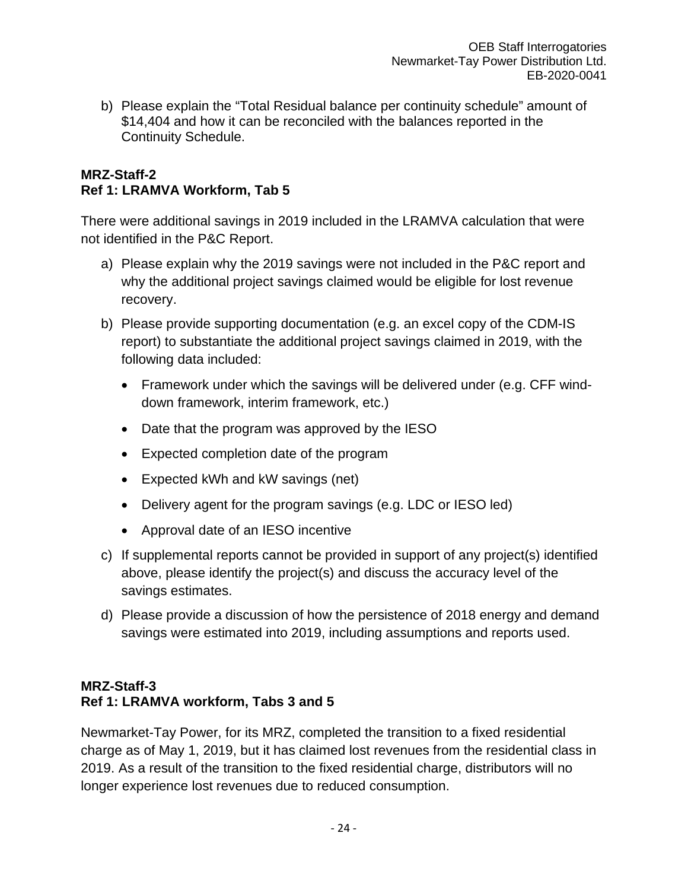b) Please explain the "Total Residual balance per continuity schedule" amount of \$14,404 and how it can be reconciled with the balances reported in the Continuity Schedule.

### **MRZ-Staff-2 Ref 1: LRAMVA Workform, Tab 5**

There were additional savings in 2019 included in the LRAMVA calculation that were not identified in the P&C Report.

- a) Please explain why the 2019 savings were not included in the P&C report and why the additional project savings claimed would be eligible for lost revenue recovery.
- b) Please provide supporting documentation (e.g. an excel copy of the CDM-IS report) to substantiate the additional project savings claimed in 2019, with the following data included:
	- Framework under which the savings will be delivered under (e.g. CFF winddown framework, interim framework, etc.)
	- Date that the program was approved by the IESO
	- Expected completion date of the program
	- Expected kWh and kW savings (net)
	- Delivery agent for the program savings (e.g. LDC or IESO led)
	- Approval date of an IESO incentive
- c) If supplemental reports cannot be provided in support of any project(s) identified above, please identify the project(s) and discuss the accuracy level of the savings estimates.
- d) Please provide a discussion of how the persistence of 2018 energy and demand savings were estimated into 2019, including assumptions and reports used.

## **MRZ-Staff-3 Ref 1: LRAMVA workform, Tabs 3 and 5**

Newmarket-Tay Power, for its MRZ, completed the transition to a fixed residential charge as of May 1, 2019, but it has claimed lost revenues from the residential class in 2019. As a result of the transition to the fixed residential charge, distributors will no longer experience lost revenues due to reduced consumption.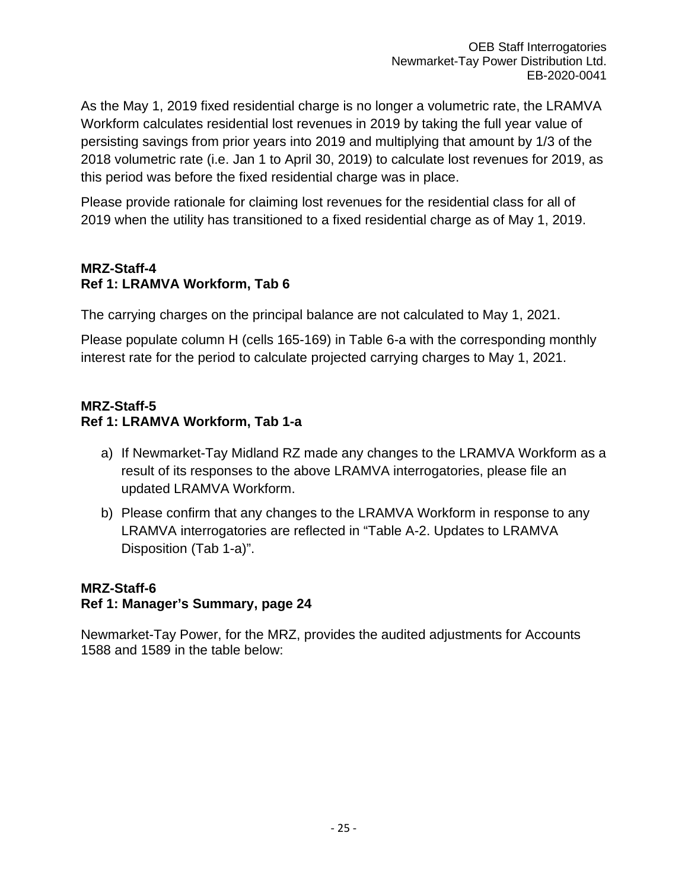As the May 1, 2019 fixed residential charge is no longer a volumetric rate, the LRAMVA Workform calculates residential lost revenues in 2019 by taking the full year value of persisting savings from prior years into 2019 and multiplying that amount by 1/3 of the 2018 volumetric rate (i.e. Jan 1 to April 30, 2019) to calculate lost revenues for 2019, as this period was before the fixed residential charge was in place.

Please provide rationale for claiming lost revenues for the residential class for all of 2019 when the utility has transitioned to a fixed residential charge as of May 1, 2019.

## **MRZ-Staff-4 Ref 1: LRAMVA Workform, Tab 6**

The carrying charges on the principal balance are not calculated to May 1, 2021.

Please populate column H (cells 165-169) in Table 6-a with the corresponding monthly interest rate for the period to calculate projected carrying charges to May 1, 2021.

## **MRZ-Staff-5 Ref 1: LRAMVA Workform, Tab 1-a**

- a) If Newmarket-Tay Midland RZ made any changes to the LRAMVA Workform as a result of its responses to the above LRAMVA interrogatories, please file an updated LRAMVA Workform.
- b) Please confirm that any changes to the LRAMVA Workform in response to any LRAMVA interrogatories are reflected in "Table A-2. Updates to LRAMVA Disposition (Tab 1-a)".

## **MRZ-Staff-6**

## **Ref 1: Manager's Summary, page 24**

Newmarket-Tay Power, for the MRZ, provides the audited adjustments for Accounts 1588 and 1589 in the table below: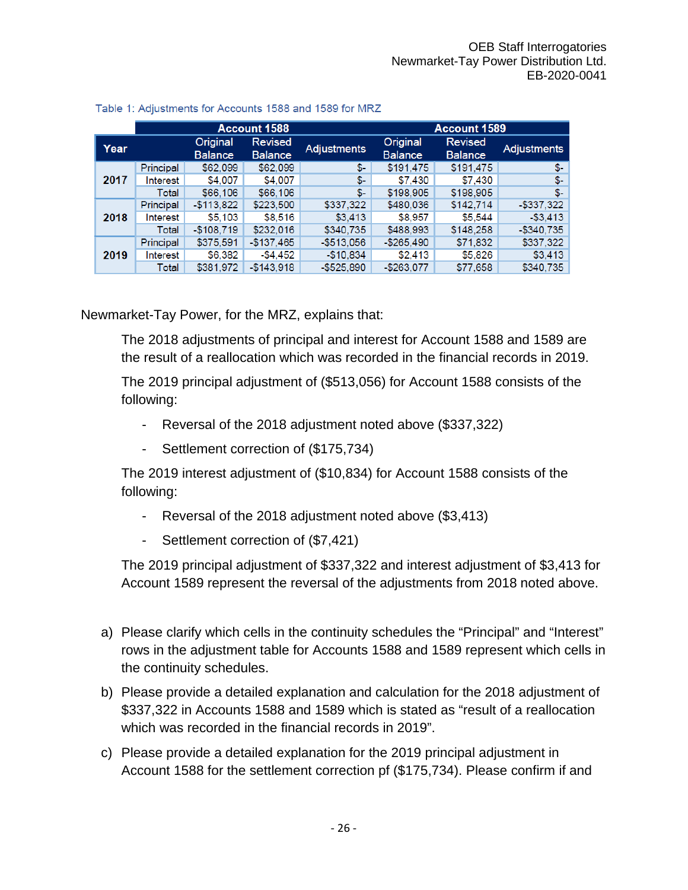|      | <b>Account 1588</b> |                            |                                  |                    | <b>Account 1589</b>        |                                  |                    |
|------|---------------------|----------------------------|----------------------------------|--------------------|----------------------------|----------------------------------|--------------------|
| Year |                     | Original<br><b>Balance</b> | <b>Revised</b><br><b>Balance</b> | <b>Adjustments</b> | Original<br><b>Balance</b> | <b>Revised</b><br><b>Balance</b> | <b>Adjustments</b> |
| 2017 | Principal           | \$62,099                   | \$62,099                         | \$-                | \$191.475                  | \$191.475                        | $S-$               |
|      | Interest            | \$4,007                    | \$4,007                          | \$-                | \$7,430                    | \$7,430                          | \$-                |
|      | Total               | \$66,106                   | \$66,106                         | \$-                | \$198,905                  | \$198,905                        | \$-                |
| 2018 | Principal           | $-$113,822$                | \$223,500                        | \$337,322          | \$480,036                  | \$142,714                        | $-$337,322$        |
|      | Interest            | \$5,103                    | \$8,516                          | \$3,413            | \$8,957                    | \$5,544                          | $-53.413$          |
|      | Total               | $-$108,719$                | \$232,016                        | \$340,735          | \$488,993                  | \$148,258                        | $-$340.735$        |
| 2019 | Principal           | \$375,591                  | $-$137,465$                      | $-$513,056$        | $-$ \$265,490              | \$71,832                         | \$337,322          |
|      | Interest            | \$6,382                    | -\$4.452                         | $-$10,834$         | \$2,413                    | \$5,826                          | \$3,413            |
|      | Total               | \$381,972                  | $-$143.918$                      | $-$525.890$        | $-$263.077$                | \$77,658                         | \$340,735          |

### Table 1: Adjustments for Accounts 1588 and 1589 for MRZ

Newmarket-Tay Power, for the MRZ, explains that:

The 2018 adjustments of principal and interest for Account 1588 and 1589 are the result of a reallocation which was recorded in the financial records in 2019.

The 2019 principal adjustment of (\$513,056) for Account 1588 consists of the following:

- Reversal of the 2018 adjustment noted above (\$337,322)
- Settlement correction of (\$175,734)

The 2019 interest adjustment of (\$10,834) for Account 1588 consists of the following:

- Reversal of the 2018 adjustment noted above (\$3,413)
- Settlement correction of (\$7,421)

The 2019 principal adjustment of \$337,322 and interest adjustment of \$3,413 for Account 1589 represent the reversal of the adjustments from 2018 noted above.

- a) Please clarify which cells in the continuity schedules the "Principal" and "Interest" rows in the adjustment table for Accounts 1588 and 1589 represent which cells in the continuity schedules.
- b) Please provide a detailed explanation and calculation for the 2018 adjustment of \$337,322 in Accounts 1588 and 1589 which is stated as "result of a reallocation which was recorded in the financial records in 2019".
- c) Please provide a detailed explanation for the 2019 principal adjustment in Account 1588 for the settlement correction pf (\$175,734). Please confirm if and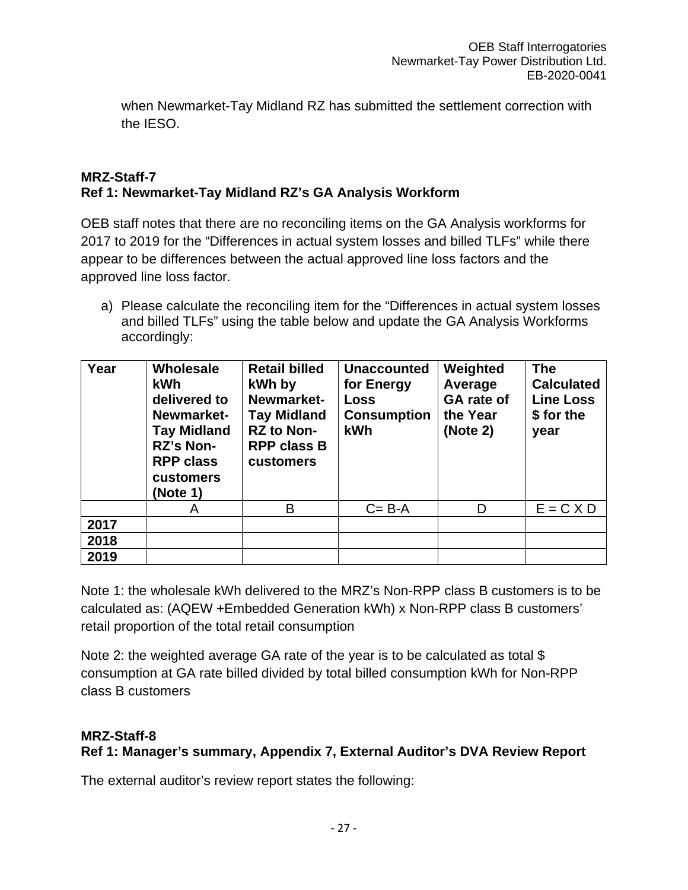when Newmarket-Tay Midland RZ has submitted the settlement correction with the IESO.

### **MRZ-Staff-7 Ref 1: Newmarket-Tay Midland RZ's GA Analysis Workform**

OEB staff notes that there are no reconciling items on the GA Analysis workforms for 2017 to 2019 for the "Differences in actual system losses and billed TLFs" while there appear to be differences between the actual approved line loss factors and the approved line loss factor.

a) Please calculate the reconciling item for the "Differences in actual system losses and billed TLFs" using the table below and update the GA Analysis Workforms accordingly:

| Year | Wholesale<br>kWh<br>delivered to<br>Newmarket-<br><b>Tay Midland</b><br>RZ's Non-<br><b>RPP class</b><br>customers<br>(Note 1) | <b>Retail billed</b><br>kWh by<br>Newmarket-<br><b>Tay Midland</b><br><b>RZ to Non-</b><br><b>RPP class B</b><br>customers | <b>Unaccounted</b><br>for Energy<br>Loss<br><b>Consumption</b><br>kWh | Weighted<br>Average<br><b>GA</b> rate of<br>the Year<br>(Note 2) | <b>The</b><br><b>Calculated</b><br><b>Line Loss</b><br>\$ for the<br>year |
|------|--------------------------------------------------------------------------------------------------------------------------------|----------------------------------------------------------------------------------------------------------------------------|-----------------------------------------------------------------------|------------------------------------------------------------------|---------------------------------------------------------------------------|
|      | Α                                                                                                                              | B                                                                                                                          | $C = B - A$                                                           | D                                                                | $E = C X D$                                                               |
| 2017 |                                                                                                                                |                                                                                                                            |                                                                       |                                                                  |                                                                           |
| 2018 |                                                                                                                                |                                                                                                                            |                                                                       |                                                                  |                                                                           |
| 2019 |                                                                                                                                |                                                                                                                            |                                                                       |                                                                  |                                                                           |

Note 1: the wholesale kWh delivered to the MRZ's Non-RPP class B customers is to be calculated as: (AQEW +Embedded Generation kWh) x Non-RPP class B customers' retail proportion of the total retail consumption

Note 2: the weighted average GA rate of the year is to be calculated as total \$ consumption at GA rate billed divided by total billed consumption kWh for Non-RPP class B customers

## **MRZ-Staff-8**

## **Ref 1: Manager's summary, Appendix 7, External Auditor's DVA Review Report**

The external auditor's review report states the following: